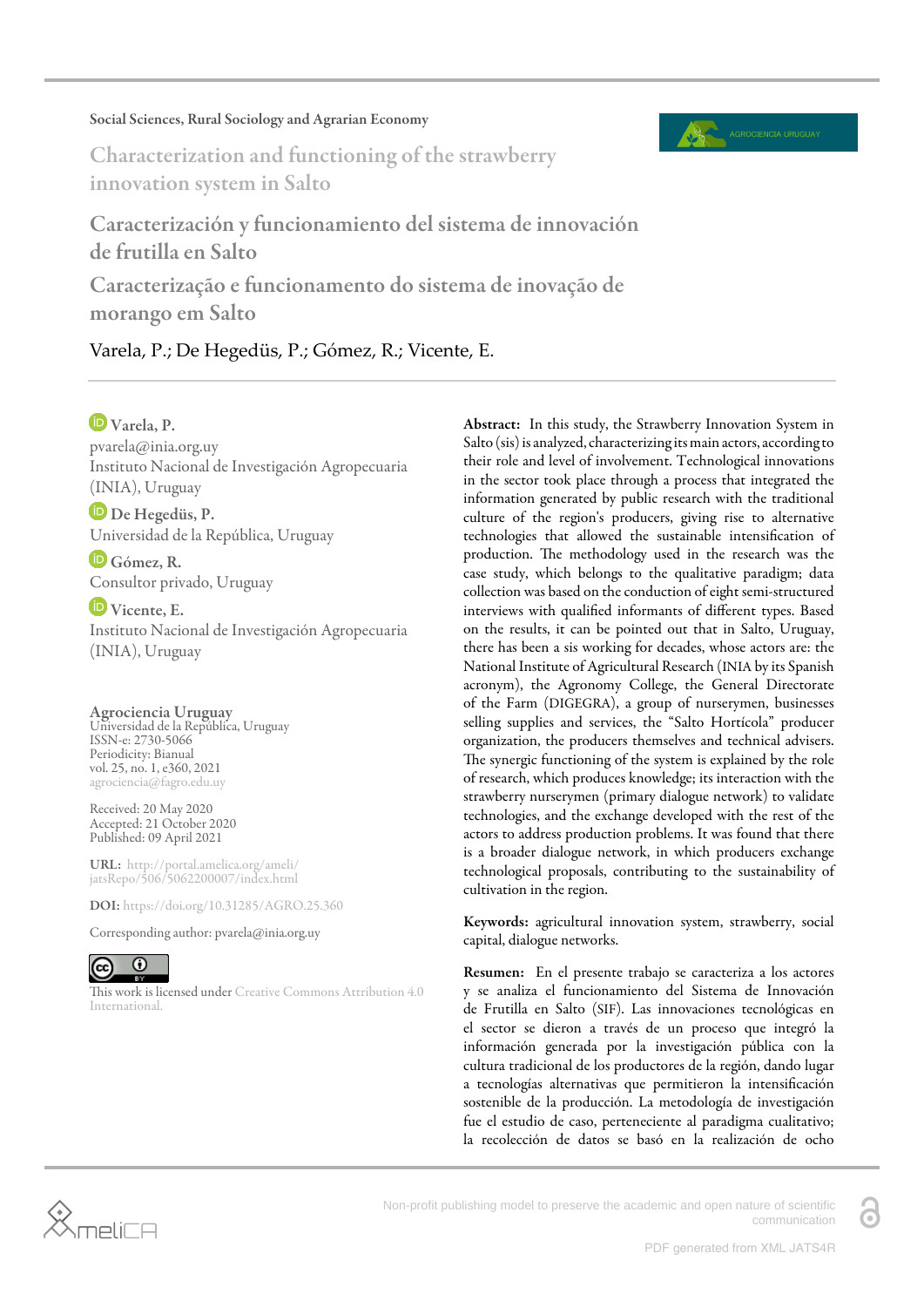#### Social Sciences, Rural Sociology and Agrarian Economy



Characterization and functioning of the strawberry innovation system in Salto

Caracterización y funcionamiento del sistema de innovación de frutilla en Salto Caracterização e funcionamento do sistema de inovação de

morango em Salto

Varela, P.; De Hegedüs, P.; Gómez, R.; Vicente, E.

# Varela, P.

pvarela@inia.org.uy Instituto Nacional de Investigación Agropecuaria (INIA), Uruguay

De Hegedüs, P. Universidad de la República, Uruguay

Gómez, R. Consultor privado, Uruguay

Vicente, E. Instituto Nacional de Investigación Agropecuaria (INIA), Uruguay

### Agrociencia Uruguay

Universidad de la República, Uruguay ISSN-e: 2730-5066 Periodicity: Bianual vol. 25, no. 1, e360, 2021 agrociencia@fagro.edu.uy

Received: 20 May 2020 Accepted: 21 October 2020 Published: 09 April 2021

URL: [http://portal.amelica.org/ameli/](http://portal.amelica.org/ameli/jatsRepo/506/5062200007/index.html) [jatsRepo/506/5062200007/index.html](http://portal.amelica.org/ameli/jatsRepo/506/5062200007/index.html)

DOI: <https://doi.org/10.31285/AGRO.25.360>

Corresponding author: pvarela@inia.org.uy



This work is licensed under [Creative Commons Attribution 4.0](https://creativecommons.org/licenses/by/4.0/) [International.](https://creativecommons.org/licenses/by/4.0/)

Abstract: In this study, the Strawberry Innovation System in Salto (sis) is analyzed, characterizing its main actors, according to their role and level of involvement. Technological innovations in the sector took place through a process that integrated the information generated by public research with the traditional culture of the region's producers, giving rise to alternative technologies that allowed the sustainable intensification of production. The methodology used in the research was the case study, which belongs to the qualitative paradigm; data collection was based on the conduction of eight semi-structured interviews with qualified informants of different types. Based on the results, it can be pointed out that in Salto, Uruguay, there has been a sis working for decades, whose actors are: the National Institute of Agricultural Research (INIA by its Spanish acronym), the Agronomy College, the General Directorate of the Farm (DIGEGRA), a group of nurserymen, businesses selling supplies and services, the "Salto Hortícola" producer organization, the producers themselves and technical advisers. The synergic functioning of the system is explained by the role of research, which produces knowledge; its interaction with the strawberry nurserymen (primary dialogue network) to validate technologies, and the exchange developed with the rest of the actors to address production problems. It was found that there is a broader dialogue network, in which producers exchange technological proposals, contributing to the sustainability of cultivation in the region.

Keywords: agricultural innovation system, strawberry, social capital, dialogue networks.

Resumen: En el presente trabajo se caracteriza a los actores y se analiza el funcionamiento del Sistema de Innovación de Frutilla en Salto (SIF). Las innovaciones tecnológicas en el sector se dieron a través de un proceso que integró la información generada por la investigación pública con la cultura tradicional de los productores de la región, dando lugar a tecnologías alternativas que permitieron la intensificación sostenible de la producción. La metodología de investigación fue el estudio de caso, perteneciente al paradigma cualitativo; la recolección de datos se basó en la realización de ocho

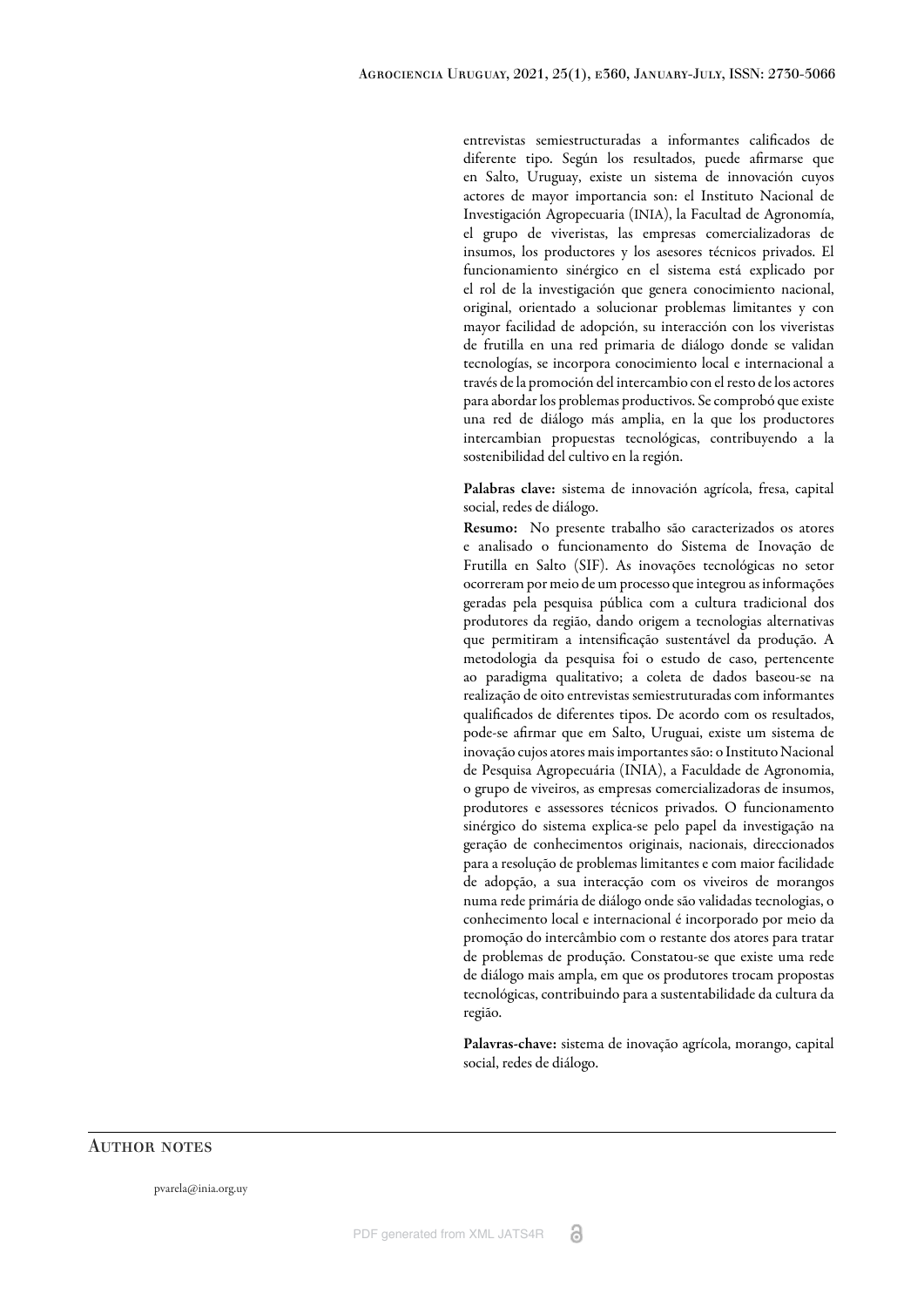entrevistas semiestructuradas a informantes calificados de diferente tipo. Según los resultados, puede afirmarse que en Salto, Uruguay, existe un sistema de innovación cuyos actores de mayor importancia son: el Instituto Nacional de Investigación Agropecuaria (INIA), la Facultad de Agronomía, el grupo de viveristas, las empresas comercializadoras de insumos, los productores y los asesores técnicos privados. El funcionamiento sinérgico en el sistema está explicado por el rol de la investigación que genera conocimiento nacional, original, orientado a solucionar problemas limitantes y con mayor facilidad de adopción, su interacción con los viveristas de frutilla en una red primaria de diálogo donde se validan tecnologías, se incorpora conocimiento local e internacional a través de la promoción del intercambio con el resto de los actores para abordar los problemas productivos. Se comprobó que existe una red de diálogo más amplia, en la que los productores intercambian propuestas tecnológicas, contribuyendo a la sostenibilidad del cultivo en la región.

Palabras clave: sistema de innovación agrícola, fresa, capital social, redes de diálogo.

Resumo: No presente trabalho são caracterizados os atores e analisado o funcionamento do Sistema de Inovação de Frutilla en Salto (SIF). As inovações tecnológicas no setor ocorreram por meio de um processo que integrou as informações geradas pela pesquisa pública com a cultura tradicional dos produtores da região, dando origem a tecnologias alternativas que permitiram a intensificação sustentável da produção. A metodologia da pesquisa foi o estudo de caso, pertencente ao paradigma qualitativo; a coleta de dados baseou-se na realização de oito entrevistas semiestruturadas com informantes qualificados de diferentes tipos. De acordo com os resultados, pode-se afirmar que em Salto, Uruguai, existe um sistema de inovação cujos atores mais importantes são: o Instituto Nacional de Pesquisa Agropecuária (INIA), a Faculdade de Agronomia, o grupo de viveiros, as empresas comercializadoras de insumos, produtores e assessores técnicos privados. O funcionamento sinérgico do sistema explica-se pelo papel da investigação na geração de conhecimentos originais, nacionais, direccionados para a resolução de problemas limitantes e com maior facilidade de adopção, a sua interacção com os viveiros de morangos numa rede primária de diálogo onde são validadas tecnologias, o conhecimento local e internacional é incorporado por meio da promoção do intercâmbio com o restante dos atores para tratar de problemas de produção. Constatou-se que existe uma rede de diálogo mais ampla, em que os produtores trocam propostas tecnológicas, contribuindo para a sustentabilidade da cultura da região.

Palavras-chave: sistema de inovação agrícola, morango, capital social, redes de diálogo.

#### **AUTHOR NOTES**

pvarela@inia.org.uy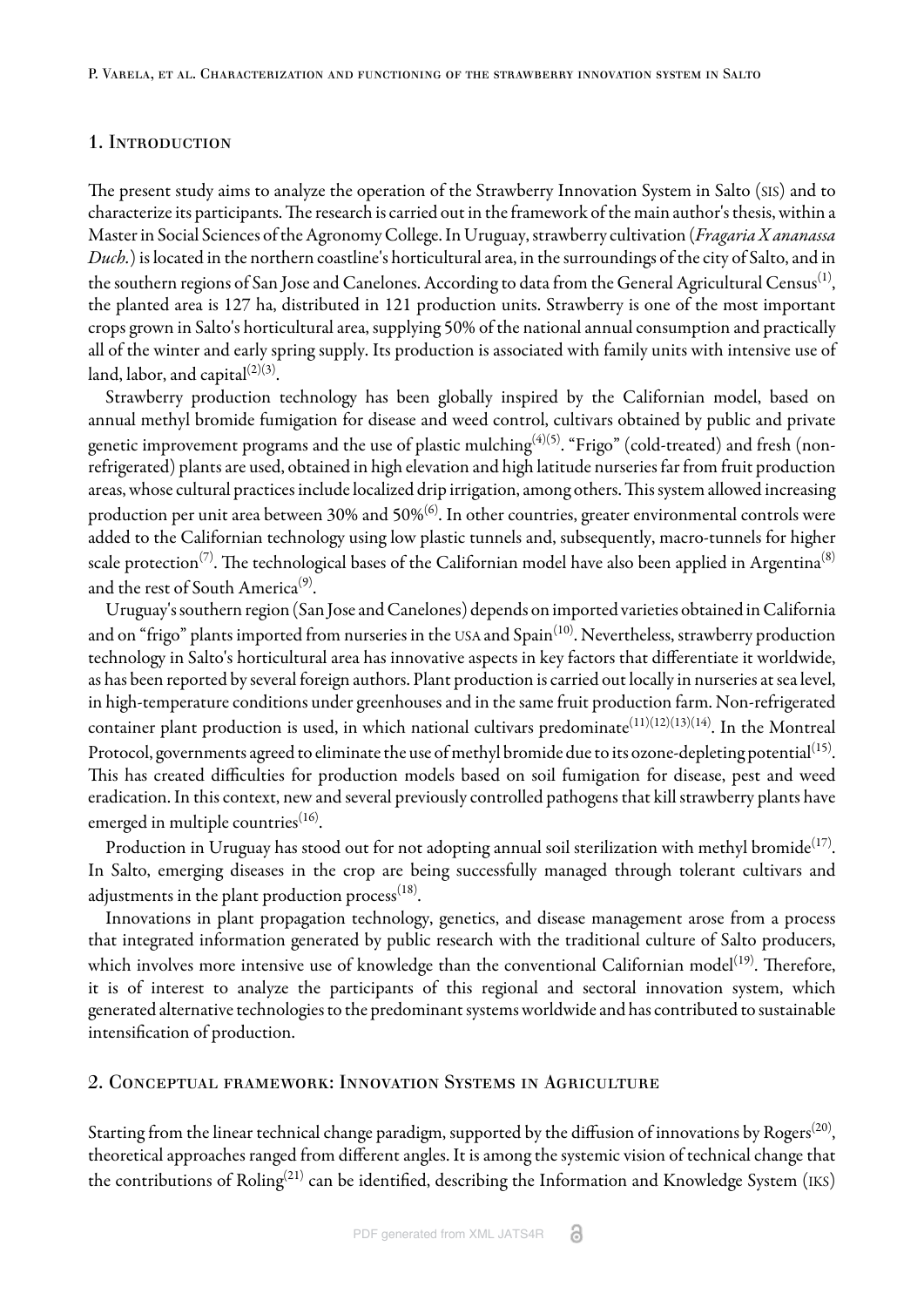### 1. INTRODUCTION

The present study aims to analyze the operation of the Strawberry Innovation System in Salto (SIS) and to characterize its participants. The research is carried out in the framework of the main author's thesis, within a Master in Social Sciences of the Agronomy College. In Uruguay, strawberry cultivation (*Fragaria X ananassa Duch.*) is located in the northern coastline's horticultural area, in the surroundings of the city of Salto, and in the southern regions of San Jose and Canelones. According to data from the General Agricultural Census $^{\left( 1\right) },$  $^{\left( 1\right) },$  $^{\left( 1\right) },$ the planted area is 127 ha, distributed in 121 production units. Strawberry is one of the most important crops grown in Salto's horticultural area, supplying 50% of the national annual consumption and practically all of the winter and early spring supply. Its production is associated with family units with intensive use of land, labor, and capital $^{(2)(3)}.$  $^{(2)(3)}.$  $^{(2)(3)}.$  $^{(2)(3)}.$ 

Strawberry production technology has been globally inspired by the Californian model, based on annual methyl bromide fumigation for disease and weed control, cultivars obtained by public and private genetic improvement programs and the use of plastic mulching $^{(4)(5)}$  $^{(4)(5)}$  $^{(4)(5)}$  $^{(4)(5)}$  $^{(4)(5)}$ . "Frigo" (cold-treated) and fresh (nonrefrigerated) plants are used, obtained in high elevation and high latitude nurseries far from fruit production areas, whose cultural practices include localized drip irrigation, among others. This system allowed increasing production per unit area between 30% and 50% $^{\rm (6)}$  $^{\rm (6)}$  $^{\rm (6)}$ . In other countries, greater environmental controls were added to the Californian technology using low plastic tunnels and, subsequently, macro-tunnels for higher scale protection<sup>[\(7\)](#page-12-6)</sup>. The technological bases of the Californian model have also been applied in Argentina<sup>([8\)](#page-12-7)</sup> and the rest of South America $^{(9)}$  $^{(9)}$  $^{(9)}$ .

Uruguay's southern region (San Jose and Canelones) depends on imported varieties obtained in California and on "frigo" plants imported from nurseries in the USA and Spain $^{\rm (10)}$  $^{\rm (10)}$  $^{\rm (10)}$ . Nevertheless, strawberry production technology in Salto's horticultural area has innovative aspects in key factors that differentiate it worldwide, as has been reported by several foreign authors. Plant production is carried out locally in nurseries at sea level, in high-temperature conditions under greenhouses and in the same fruit production farm. Non-refrigerated container plant production is used, in which national cultivars predominate $^{(11)(12)(13)(14)}.$  $^{(11)(12)(13)(14)}.$  $^{(11)(12)(13)(14)}.$  $^{(11)(12)(13)(14)}.$  $^{(11)(12)(13)(14)}.$  $^{(11)(12)(13)(14)}.$  $^{(11)(12)(13)(14)}.$  $^{(11)(12)(13)(14)}.$  In the Montreal Protocol, governments agreed to eliminate the use of methyl bromide due to its ozone-depleting potential $^{\rm(15)}$  $^{\rm(15)}$  $^{\rm(15)}$ . This has created difficulties for production models based on soil fumigation for disease, pest and weed eradication. In this context, new and several previously controlled pathogens that kill strawberry plants have emerged in multiple countries $^{\left(16\right)}$ .

Production in Uruguay has stood out for not adopting annual soil sterilization with methyl bromide $^{\left( 17\right) }$  $^{\left( 17\right) }$  $^{\left( 17\right) }$ . In Salto, emerging diseases in the crop are being successfully managed through tolerant cultivars and adjustments in the plant production process $^{\rm(18)}.$  $^{\rm(18)}.$  $^{\rm(18)}.$ 

Innovations in plant propagation technology, genetics, and disease management arose from a process that integrated information generated by public research with the traditional culture of Salto producers, which involves more intensive use of knowledge than the conventional Californian model $^{\left( 19\right) }$  $^{\left( 19\right) }$  $^{\left( 19\right) }$ . Therefore, it is of interest to analyze the participants of this regional and sectoral innovation system, which generated alternative technologies to the predominant systems worldwide and has contributed to sustainable intensification of production.

### 2. Conceptual framework: Innovation Systems in Agriculture

Starting from the linear technical change paradigm, supported by the diffusion of innovations by Rogers $^{(20)}$  $^{(20)}$  $^{(20)}$ , theoretical approaches ranged from different angles. It is among the systemic vision of technical change that the contributions of Roling $^{(21)}$  $^{(21)}$  $^{(21)}$  can be identified, describing the Information and Knowledge System (IKS)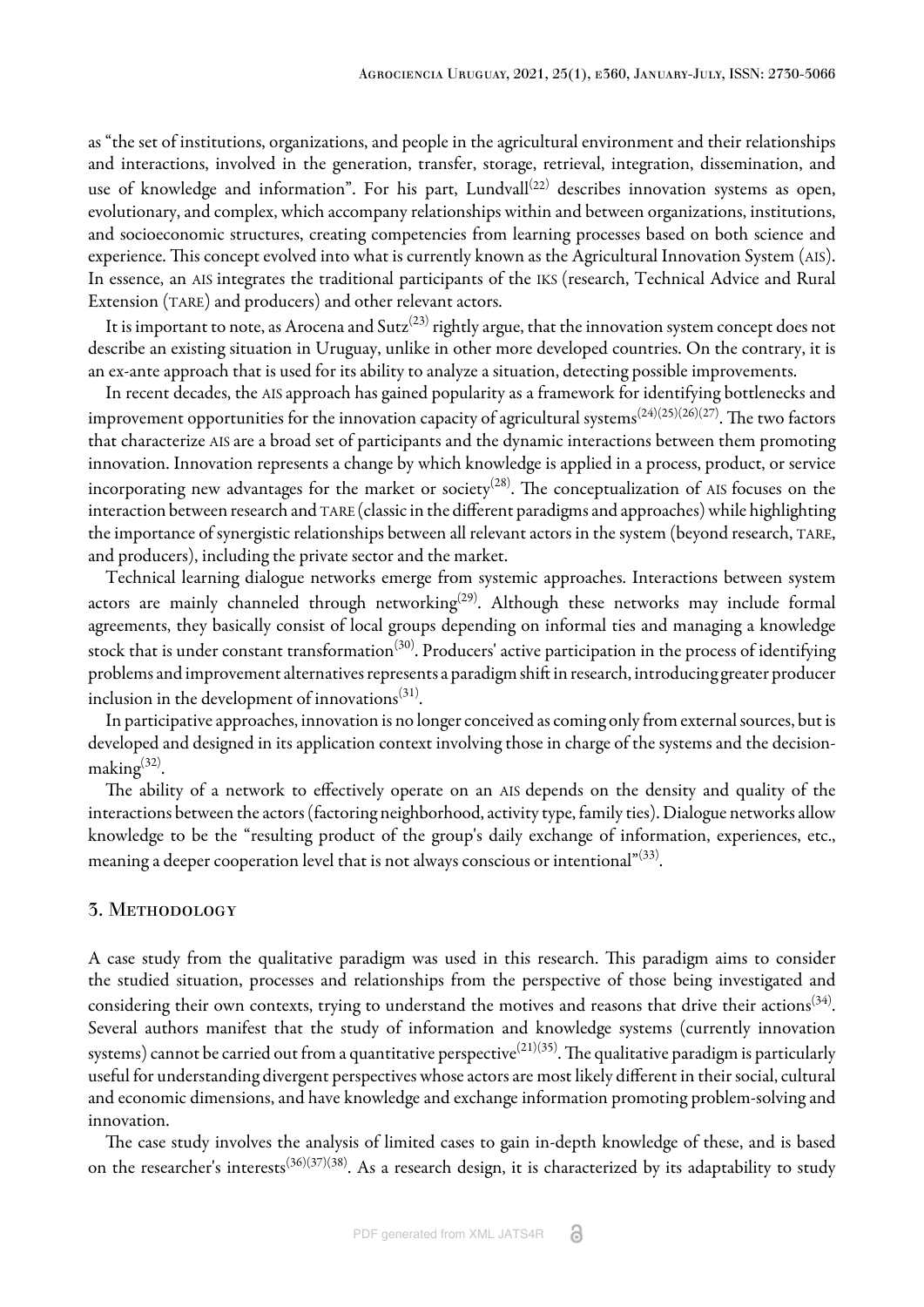as "the set of institutions, organizations, and people in the agricultural environment and their relationships and interactions, involved in the generation, transfer, storage, retrieval, integration, dissemination, and use of knowledge and information". For his part, Lundvall $^{(22)}$  $^{(22)}$  $^{(22)}$  describes innovation systems as open, evolutionary, and complex, which accompany relationships within and between organizations, institutions, and socioeconomic structures, creating competencies from learning processes based on both science and experience. This concept evolved into what is currently known as the Agricultural Innovation System (AIS). In essence, an AIS integrates the traditional participants of the IKS (research, Technical Advice and Rural Extension (TARE) and producers) and other relevant actors.

It is important to note, as Arocena and Sutz $^{(23)}$  $^{(23)}$  $^{(23)}$  rightly argue, that the innovation system concept does not describe an existing situation in Uruguay, unlike in other more developed countries. On the contrary, it is an ex-ante approach that is used for its ability to analyze a situation, detecting possible improvements.

In recent decades, the AIS approach has gained popularity as a framework for identifying bottlenecks and improvement opportunities for the innovation capacity of agricultural systems $^{(24)(25)(26)(27)}.$  $^{(24)(25)(26)(27)}.$  $^{(24)(25)(26)(27)}.$  $^{(24)(25)(26)(27)}.$  $^{(24)(25)(26)(27)}.$  $^{(24)(25)(26)(27)}.$  $^{(24)(25)(26)(27)}.$  $^{(24)(25)(26)(27)}.$  $^{(24)(25)(26)(27)}.$  The two factors that characterize AIS are a broad set of participants and the dynamic interactions between them promoting innovation. Innovation represents a change by which knowledge is applied in a process, product, or service incorporating new advantages for the market or society $^{(28)}$  $^{(28)}$  $^{(28)}$ . The conceptualization of AIS focuses on the interaction between research and TARE (classic in the different paradigms and approaches) while highlighting the importance of synergistic relationships between all relevant actors in the system (beyond research, TARE, and producers), including the private sector and the market.

Technical learning dialogue networks emerge from systemic approaches. Interactions between system actors are mainly channeled through networking $^{(29)}$  $^{(29)}$  $^{(29)}$ . Although these networks may include formal agreements, they basically consist of local groups depending on informal ties and managing a knowledge stock that is under constant transformation $^{(30)}$  $^{(30)}$  $^{(30)}$ . Producers' active participation in the process of identifying problems and improvement alternatives represents a paradigm shift in research, introducing greater producer inclusion in the development of innovations $^{\left( 31\right) }$  $^{\left( 31\right) }$  $^{\left( 31\right) }$ .

In participative approaches, innovation is no longer conceived as coming only from external sources, but is developed and designed in its application context involving those in charge of the systems and the decision-making<sup>[\(32](#page-14-0))</sup>.

The ability of a network to effectively operate on an AIS depends on the density and quality of the interactions between the actors (factoring neighborhood, activity type, family ties). Dialogue networks allow knowledge to be the "resulting product of the group's daily exchange of information, experiences, etc., meaning a deeper cooperation level that is not always conscious or intentional" $^{\left( 33\right) }$ .

#### 3. Methodology

A case study from the qualitative paradigm was used in this research. This paradigm aims to consider the studied situation, processes and relationships from the perspective of those being investigated and considering their own contexts, trying to understand the motives and reasons that drive their actions $^{(34)}.$  $^{(34)}.$  $^{(34)}.$ Several authors manifest that the study of information and knowledge systems (currently innovation systems) cannot be carried out from a quantitative perspective $^{(21)(35)}.$  $^{(21)(35)}.$  $^{(21)(35)}.$  $^{(21)(35)}.$  $^{(21)(35)}.$  The qualitative paradigm is particularly useful for understanding divergent perspectives whose actors are most likely different in their social, cultural and economic dimensions, and have knowledge and exchange information promoting problem-solving and innovation.

The case study involves the analysis of limited cases to gain in-depth knowledge of these, and is based on the researcher's interests<sup>[\(36\)](#page-14-4)[\(37](#page-14-5))[\(38](#page-14-6))</sup>. As a research design, it is characterized by its adaptability to study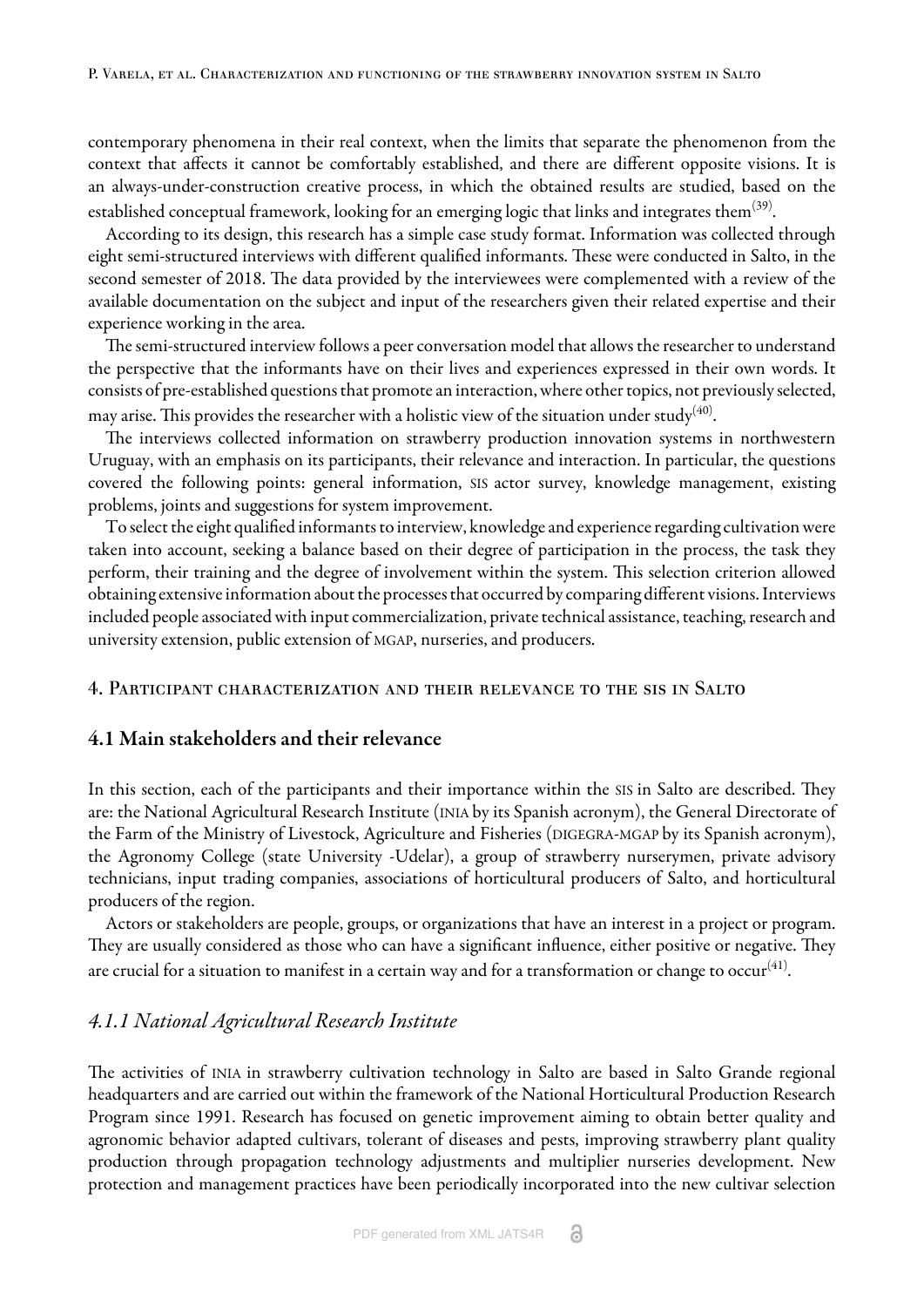contemporary phenomena in their real context, when the limits that separate the phenomenon from the context that affects it cannot be comfortably established, and there are different opposite visions. It is an always-under-construction creative process, in which the obtained results are studied, based on the established conceptual framework, looking for an emerging logic that links and integrates them $^{(39)}$  $^{(39)}$  $^{(39)}$ .

According to its design, this research has a simple case study format. Information was collected through eight semi-structured interviews with different qualified informants. These were conducted in Salto, in the second semester of 2018. The data provided by the interviewees were complemented with a review of the available documentation on the subject and input of the researchers given their related expertise and their experience working in the area.

The semi-structured interview follows a peer conversation model that allows the researcher to understand the perspective that the informants have on their lives and experiences expressed in their own words. It consists of pre-established questions that promote an interaction, where other topics, not previously selected, may arise. This provides the researcher with a holistic view of the situation under study $^{(40)}$  $^{(40)}$  $^{(40)}$ .

The interviews collected information on strawberry production innovation systems in northwestern Uruguay, with an emphasis on its participants, their relevance and interaction. In particular, the questions covered the following points: general information, SIS actor survey, knowledge management, existing problems, joints and suggestions for system improvement.

To select the eight qualified informants to interview, knowledge and experience regarding cultivation were taken into account, seeking a balance based on their degree of participation in the process, the task they perform, their training and the degree of involvement within the system. This selection criterion allowed obtaining extensive information about the processes that occurred by comparing different visions. Interviews included people associated with input commercialization, private technical assistance, teaching, research and university extension, public extension of MGAP, nurseries, and producers.

#### 4. Participant characterization and their relevance to the sis in Salto

### 4.1 Main stakeholders and their relevance

In this section, each of the participants and their importance within the SIS in Salto are described. They are: the National Agricultural Research Institute (INIA by its Spanish acronym), the General Directorate of the Farm of the Ministry of Livestock, Agriculture and Fisheries (DIGEGRA-MGAP by its Spanish acronym), the Agronomy College (state University -Udelar), a group of strawberry nurserymen, private advisory technicians, input trading companies, associations of horticultural producers of Salto, and horticultural producers of the region.

Actors or stakeholders are people, groups, or organizations that have an interest in a project or program. They are usually considered as those who can have a significant influence, either positive or negative. They are crucial for a situation to manifest in a certain way and for a transformation or change to occur $^{(41)}$  $^{(41)}$  $^{(41)}$ .

### *4.1.1 National Agricultural Research Institute*

The activities of INIA in strawberry cultivation technology in Salto are based in Salto Grande regional headquarters and are carried out within the framework of the National Horticultural Production Research Program since 1991. Research has focused on genetic improvement aiming to obtain better quality and agronomic behavior adapted cultivars, tolerant of diseases and pests, improving strawberry plant quality production through propagation technology adjustments and multiplier nurseries development. New protection and management practices have been periodically incorporated into the new cultivar selection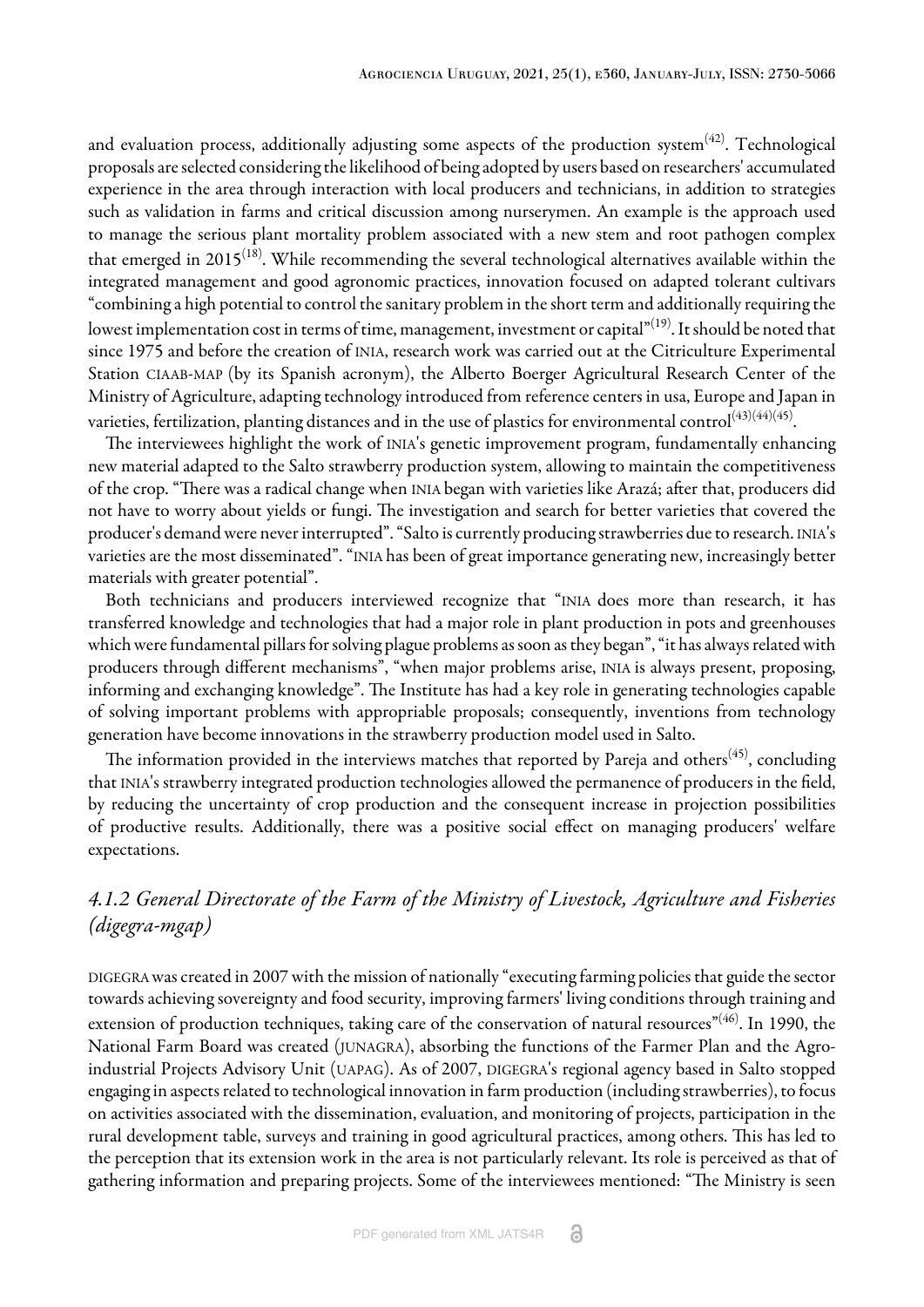and evaluation process, additionally adjusting some aspects of the production system $^{(42)}$  $^{(42)}$  $^{(42)}$ . Technological proposals are selected considering the likelihood of being adopted by users based on researchers' accumulated experience in the area through interaction with local producers and technicians, in addition to strategies such as validation in farms and critical discussion among nurserymen. An example is the approach used to manage the serious plant mortality problem associated with a new stem and root pathogen complex that emerged in 2015 $^{\rm (18)}$  $^{\rm (18)}$  $^{\rm (18)}$ . While recommending the several technological alternatives available within the integrated management and good agronomic practices, innovation focused on adapted tolerant cultivars "combining a high potential to control the sanitary problem in the short term and additionally requiring the lowest implementation cost in terms of time, management, investment or capital"<sup>[\(19\)](#page-13-9)</sup>. It should be noted that since 1975 and before the creation of INIA, research work was carried out at the Citriculture Experimental Station CIAAB-MAP (by its Spanish acronym), the Alberto Boerger Agricultural Research Center of the Ministry of Agriculture, adapting technology introduced from reference centers in usa, Europe and Japan in varieties, fertilization, planting distances and in the use of plastics for environmental control $^{(43)(44)(45)}.$  $^{(43)(44)(45)}.$  $^{(43)(44)(45)}.$  $^{(43)(44)(45)}.$  $^{(43)(44)(45)}.$  $^{(43)(44)(45)}.$ 

The interviewees highlight the work of INIA's genetic improvement program, fundamentally enhancing new material adapted to the Salto strawberry production system, allowing to maintain the competitiveness of the crop. "There was a radical change when INIA began with varieties like Arazá; after that, producers did not have to worry about yields or fungi. The investigation and search for better varieties that covered the producer's demand were never interrupted". "Salto is currently producing strawberries due to research. INIA's varieties are the most disseminated". "INIA has been of great importance generating new, increasingly better materials with greater potential".

Both technicians and producers interviewed recognize that "INIA does more than research, it has transferred knowledge and technologies that had a major role in plant production in pots and greenhouses which were fundamental pillars for solving plague problems as soon as they began", "it has always related with producers through different mechanisms", "when major problems arise, INIA is always present, proposing, informing and exchanging knowledge". The Institute has had a key role in generating technologies capable of solving important problems with appropriable proposals; consequently, inventions from technology generation have become innovations in the strawberry production model used in Salto.

The information provided in the interviews matches that reported by Pareja and others $^{(45)}$  $^{(45)}$  $^{(45)}$ , concluding that INIA's strawberry integrated production technologies allowed the permanence of producers in the field, by reducing the uncertainty of crop production and the consequent increase in projection possibilities of productive results. Additionally, there was a positive social effect on managing producers' welfare expectations.

# *4.1.2 General Directorate of the Farm of the Ministry of Livestock, Agriculture and Fisheries (digegra-mgap)*

DIGEGRA was created in 2007 with the mission of nationally "executing farming policies that guide the sector towards achieving sovereignty and food security, improving farmers' living conditions through training and extension of production techniques, taking care of the conservation of natural resources"<sup>([46\)](#page-14-14)</sup>. In 1990, the National Farm Board was created (JUNAGRA), absorbing the functions of the Farmer Plan and the Agroindustrial Projects Advisory Unit (UAPAG). As of 2007, DIGEGRA's regional agency based in Salto stopped engaging in aspects related to technological innovation in farm production (including strawberries), to focus on activities associated with the dissemination, evaluation, and monitoring of projects, participation in the rural development table, surveys and training in good agricultural practices, among others. This has led to the perception that its extension work in the area is not particularly relevant. Its role is perceived as that of gathering information and preparing projects. Some of the interviewees mentioned: "The Ministry is seen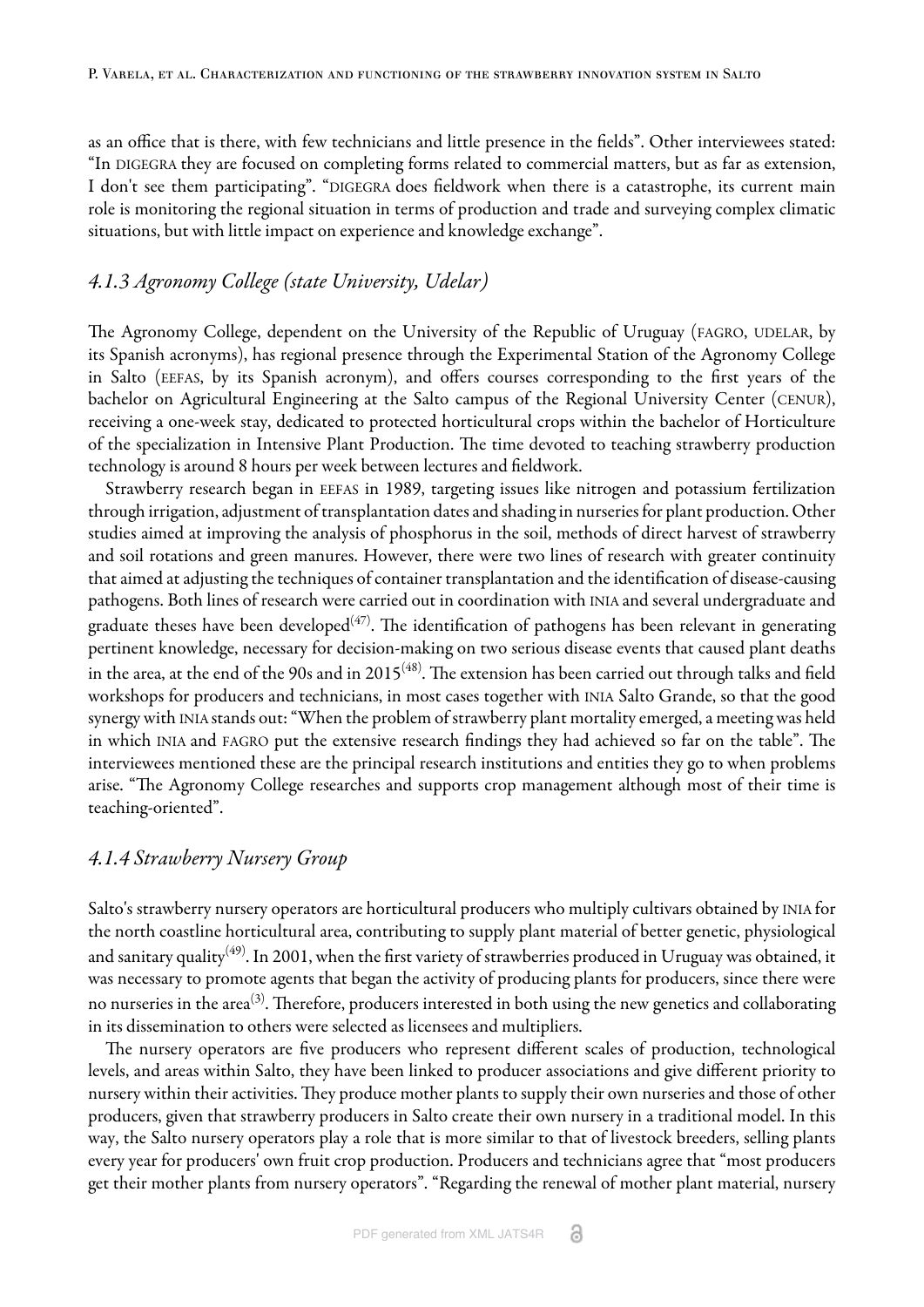as an office that is there, with few technicians and little presence in the fields". Other interviewees stated: "In DIGEGRA they are focused on completing forms related to commercial matters, but as far as extension, I don't see them participating". "DIGEGRA does fieldwork when there is a catastrophe, its current main role is monitoring the regional situation in terms of production and trade and surveying complex climatic situations, but with little impact on experience and knowledge exchange".

# *4.1.3 Agronomy College (state University, Udelar)*

The Agronomy College, dependent on the University of the Republic of Uruguay (FAGRO, UDELAR, by its Spanish acronyms), has regional presence through the Experimental Station of the Agronomy College in Salto (EEFAS, by its Spanish acronym), and offers courses corresponding to the first years of the bachelor on Agricultural Engineering at the Salto campus of the Regional University Center (CENUR), receiving a one-week stay, dedicated to protected horticultural crops within the bachelor of Horticulture of the specialization in Intensive Plant Production. The time devoted to teaching strawberry production technology is around 8 hours per week between lectures and fieldwork.

Strawberry research began in EEFAS in 1989, targeting issues like nitrogen and potassium fertilization through irrigation, adjustment of transplantation dates and shading in nurseries for plant production. Other studies aimed at improving the analysis of phosphorus in the soil, methods of direct harvest of strawberry and soil rotations and green manures. However, there were two lines of research with greater continuity that aimed at adjusting the techniques of container transplantation and the identification of disease-causing pathogens. Both lines of research were carried out in coordination with INIA and several undergraduate and graduate theses have been developed $^{\left( 47\right) }$ . The identification of pathogens has been relevant in generating pertinent knowledge, necessary for decision-making on two serious disease events that caused plant deaths in the area, at the end of the 90s and in 2015 $^{(48)}$  $^{(48)}$  $^{(48)}$ . The extension has been carried out through talks and field workshops for producers and technicians, in most cases together with INIA Salto Grande, so that the good synergy with INIA stands out: "When the problem of strawberry plant mortality emerged, a meeting was held in which INIA and FAGRO put the extensive research findings they had achieved so far on the table". The interviewees mentioned these are the principal research institutions and entities they go to when problems arise. "The Agronomy College researches and supports crop management although most of their time is teaching-oriented".

## *4.1.4 Strawberry Nursery Group*

Salto's strawberry nursery operators are horticultural producers who multiply cultivars obtained by INIA for the north coastline horticultural area, contributing to supply plant material of better genetic, physiological and sanitary quality $^{(49)}$  $^{(49)}$  $^{(49)}$ . In 2001, when the first variety of strawberries produced in Uruguay was obtained, it was necessary to promote agents that began the activity of producing plants for producers, since there were no nurseries in the area<sup>[\(3](#page-12-2))</sup>. Therefore, producers interested in both using the new genetics and collaborating in its dissemination to others were selected as licensees and multipliers.

The nursery operators are five producers who represent different scales of production, technological levels, and areas within Salto, they have been linked to producer associations and give different priority to nursery within their activities. They produce mother plants to supply their own nurseries and those of other producers, given that strawberry producers in Salto create their own nursery in a traditional model. In this way, the Salto nursery operators play a role that is more similar to that of livestock breeders, selling plants every year for producers' own fruit crop production. Producers and technicians agree that "most producers get their mother plants from nursery operators". "Regarding the renewal of mother plant material, nursery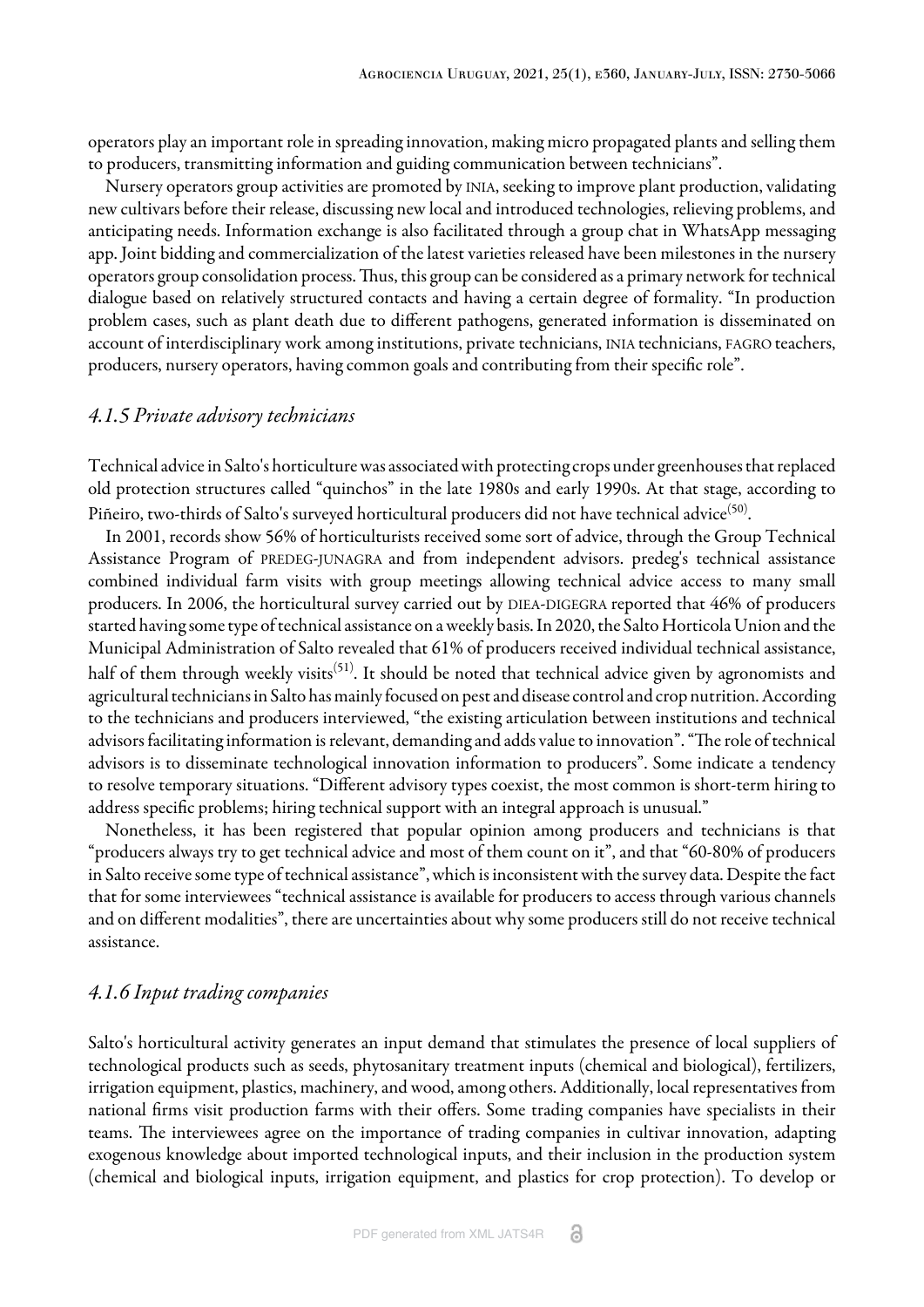operators play an important role in spreading innovation, making micro propagated plants and selling them to producers, transmitting information and guiding communication between technicians".

Nursery operators group activities are promoted by INIA, seeking to improve plant production, validating new cultivars before their release, discussing new local and introduced technologies, relieving problems, and anticipating needs. Information exchange is also facilitated through a group chat in WhatsApp messaging app. Joint bidding and commercialization of the latest varieties released have been milestones in the nursery operators group consolidation process. Thus, this group can be considered as a primary network for technical dialogue based on relatively structured contacts and having a certain degree of formality. "In production problem cases, such as plant death due to different pathogens, generated information is disseminated on account of interdisciplinary work among institutions, private technicians, INIA technicians, FAGRO teachers, producers, nursery operators, having common goals and contributing from their specific role".

### *4.1.5 Private advisory technicians*

Technical advice in Salto's horticulture was associated with protecting crops under greenhouses that replaced old protection structures called "quinchos" in the late 1980s and early 1990s. At that stage, according to Piñeiro, two-thirds of Salto's surveyed horticultural producers did not have technical advice $^{\rm (50)}$  $^{\rm (50)}$  $^{\rm (50)}$ .

In 2001, records show 56% of horticulturists received some sort of advice, through the Group Technical Assistance Program of PREDEG-JUNAGRA and from independent advisors. predeg's technical assistance combined individual farm visits with group meetings allowing technical advice access to many small producers. In 2006, the horticultural survey carried out by DIEA-DIGEGRA reported that 46% of producers started having some type of technical assistance on a weekly basis. In 2020, the Salto Horticola Union and the Municipal Administration of Salto revealed that 61% of producers received individual technical assistance, half of them through weekly visits<sup>[\(51](#page-14-19))</sup>. It should be noted that technical advice given by agronomists and agricultural technicians in Salto has mainly focused on pest and disease control and crop nutrition. According to the technicians and producers interviewed, "the existing articulation between institutions and technical advisors facilitating information is relevant, demanding and adds value to innovation". "The role of technical advisors is to disseminate technological innovation information to producers". Some indicate a tendency to resolve temporary situations. "Different advisory types coexist, the most common is short-term hiring to address specific problems; hiring technical support with an integral approach is unusual."

Nonetheless, it has been registered that popular opinion among producers and technicians is that "producers always try to get technical advice and most of them count on it", and that "60-80% of producers in Salto receive some type of technical assistance", which is inconsistent with the survey data. Despite the fact that for some interviewees "technical assistance is available for producers to access through various channels and on different modalities", there are uncertainties about why some producers still do not receive technical assistance.

# *4.1.6 Input trading companies*

Salto's horticultural activity generates an input demand that stimulates the presence of local suppliers of technological products such as seeds, phytosanitary treatment inputs (chemical and biological), fertilizers, irrigation equipment, plastics, machinery, and wood, among others. Additionally, local representatives from national firms visit production farms with their offers. Some trading companies have specialists in their teams. The interviewees agree on the importance of trading companies in cultivar innovation, adapting exogenous knowledge about imported technological inputs, and their inclusion in the production system (chemical and biological inputs, irrigation equipment, and plastics for crop protection). To develop or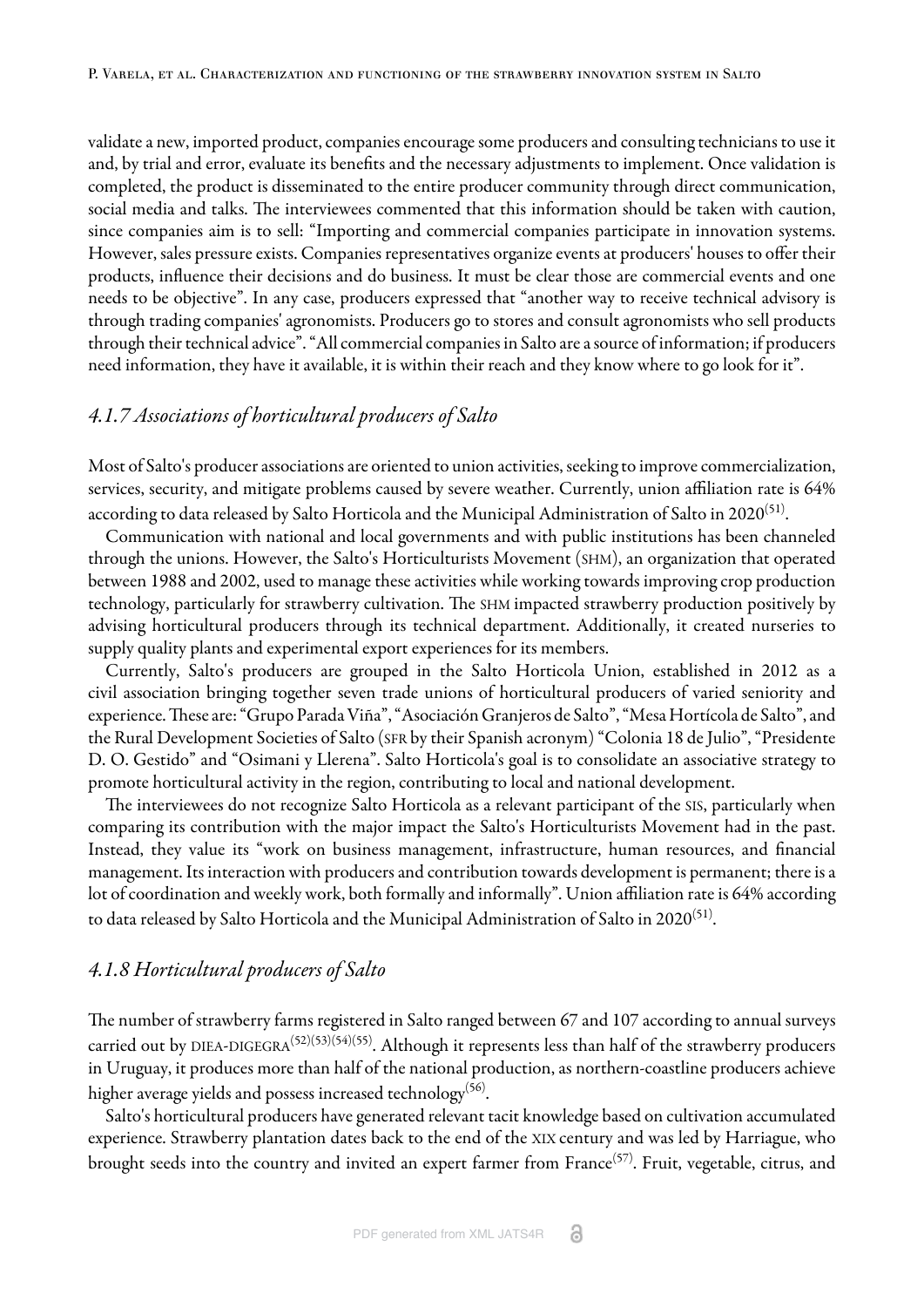validate a new, imported product, companies encourage some producers and consulting technicians to use it and, by trial and error, evaluate its benefits and the necessary adjustments to implement. Once validation is completed, the product is disseminated to the entire producer community through direct communication, social media and talks. The interviewees commented that this information should be taken with caution, since companies aim is to sell: "Importing and commercial companies participate in innovation systems. However, sales pressure exists. Companies representatives organize events at producers' houses to offer their products, influence their decisions and do business. It must be clear those are commercial events and one needs to be objective". In any case, producers expressed that "another way to receive technical advisory is through trading companies' agronomists. Producers go to stores and consult agronomists who sell products through their technical advice". "All commercial companies in Salto are a source of information; if producers need information, they have it available, it is within their reach and they know where to go look for it".

# *4.1.7 Associations of horticultural producers of Salto*

Most of Salto's producer associations are oriented to union activities, seeking to improve commercialization, services, security, and mitigate problems caused by severe weather. Currently, union affiliation rate is 64% according to data released by Salto Horticola and the Municipal Administration of Salto in 2020 $^{\rm{(51)}}$  $^{\rm{(51)}}$  $^{\rm{(51)}}$ .

Communication with national and local governments and with public institutions has been channeled through the unions. However, the Salto's Horticulturists Movement (SHM), an organization that operated between 1988 and 2002, used to manage these activities while working towards improving crop production technology, particularly for strawberry cultivation. The SHM impacted strawberry production positively by advising horticultural producers through its technical department. Additionally, it created nurseries to supply quality plants and experimental export experiences for its members.

Currently, Salto's producers are grouped in the Salto Horticola Union, established in 2012 as a civil association bringing together seven trade unions of horticultural producers of varied seniority and experience. These are: "Grupo Parada Viña", "Asociación Granjeros de Salto", "Mesa Hortícola de Salto", and the Rural Development Societies of Salto (SFR by their Spanish acronym) "Colonia 18 de Julio", "Presidente D. O. Gestido" and "Osimani y Llerena". Salto Horticola's goal is to consolidate an associative strategy to promote horticultural activity in the region, contributing to local and national development.

The interviewees do not recognize Salto Horticola as a relevant participant of the SIS, particularly when comparing its contribution with the major impact the Salto's Horticulturists Movement had in the past. Instead, they value its "work on business management, infrastructure, human resources, and financial management. Its interaction with producers and contribution towards development is permanent; there is a lot of coordination and weekly work, both formally and informally". Union affiliation rate is 64% according to data released by Salto Horticola and the Municipal Administration of Salto in 2020 $^{\left(51\right)}$ .

## *4.1.8 Horticultural producers of Salto*

The number of strawberry farms registered in Salto ranged between 67 and 107 according to annual surveys carried out by DIEA-DIGEGRA<sup>([52\)](#page-14-20)[\(53\)](#page-14-21)[\(54](#page-15-0))([55](#page-15-1))</sup>. Although it represents less than half of the strawberry producers in Uruguay, it produces more than half of the national production, as northern-coastline producers achieve higher average yields and possess increased technology $^{(56)}$  $^{(56)}$  $^{(56)}$ .

Salto's horticultural producers have generated relevant tacit knowledge based on cultivation accumulated experience. Strawberry plantation dates back to the end of the XIX century and was led by Harriague, who brought seeds into the country and invited an expert farmer from France<sup>[\(57](#page-15-3))</sup>. Fruit, vegetable, citrus, and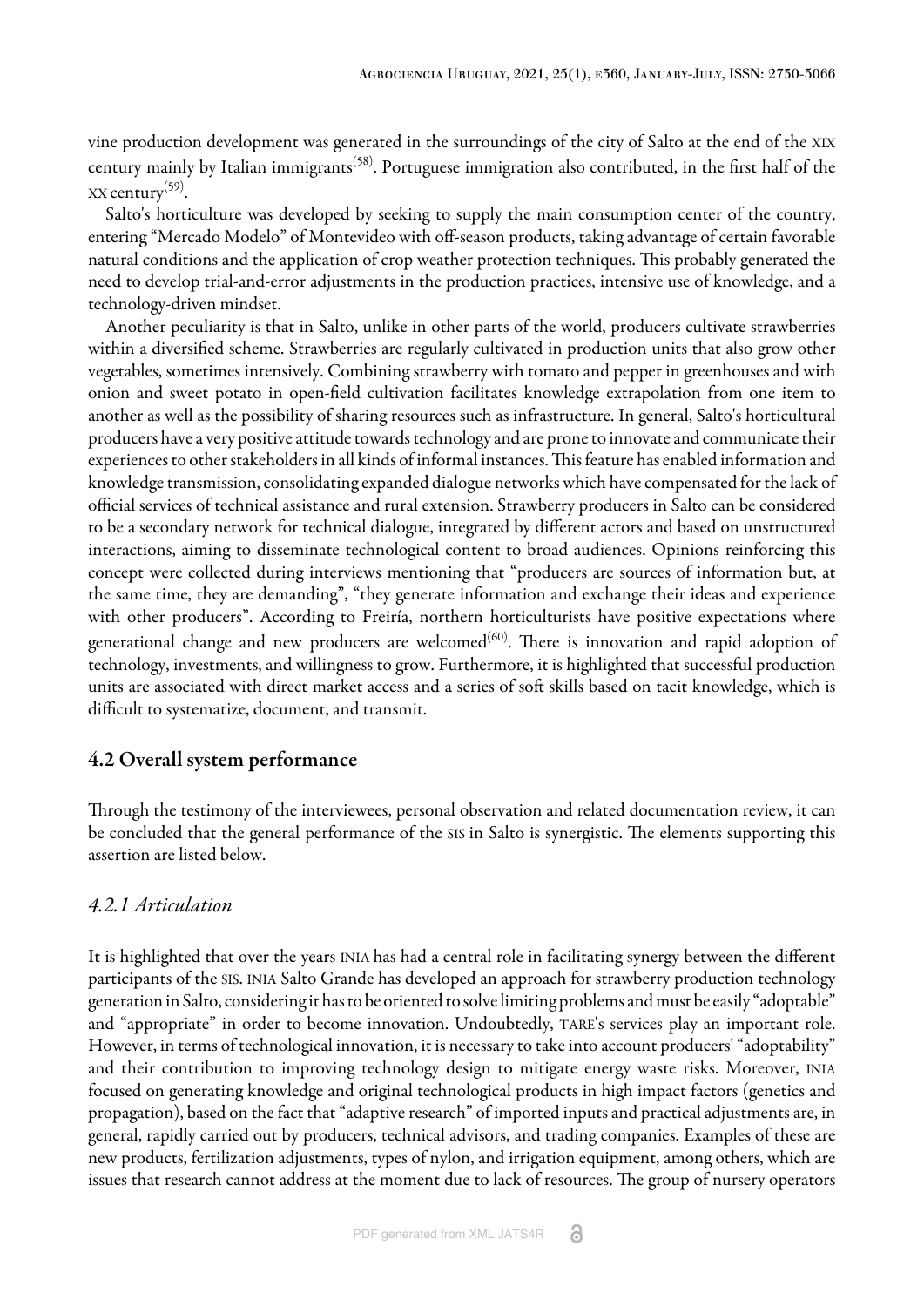vine production development was generated in the surroundings of the city of Salto at the end of the XIX century mainly by Italian immigrants<sup>[\(58\)](#page-15-4)</sup>. Portuguese immigration also contributed, in the first half of the XX century[\(59](#page-15-5)) .

Salto's horticulture was developed by seeking to supply the main consumption center of the country, entering "Mercado Modelo" of Montevideo with off-season products, taking advantage of certain favorable natural conditions and the application of crop weather protection techniques. This probably generated the need to develop trial-and-error adjustments in the production practices, intensive use of knowledge, and a technology-driven mindset.

Another peculiarity is that in Salto, unlike in other parts of the world, producers cultivate strawberries within a diversified scheme. Strawberries are regularly cultivated in production units that also grow other vegetables, sometimes intensively. Combining strawberry with tomato and pepper in greenhouses and with onion and sweet potato in open-field cultivation facilitates knowledge extrapolation from one item to another as well as the possibility of sharing resources such as infrastructure. In general, Salto's horticultural producers have a very positive attitude towards technology and are prone to innovate and communicate their experiences to other stakeholders in all kinds of informal instances. This feature has enabled information and knowledge transmission, consolidating expanded dialogue networks which have compensated for the lack of official services of technical assistance and rural extension. Strawberry producers in Salto can be considered to be a secondary network for technical dialogue, integrated by different actors and based on unstructured interactions, aiming to disseminate technological content to broad audiences. Opinions reinforcing this concept were collected during interviews mentioning that "producers are sources of information but, at the same time, they are demanding", "they generate information and exchange their ideas and experience with other producers". According to Freiría, northern horticulturists have positive expectations where generational change and new producers are welcomed $^{(60)}$  $^{(60)}$  $^{(60)}$ . There is innovation and rapid adoption of technology, investments, and willingness to grow. Furthermore, it is highlighted that successful production units are associated with direct market access and a series of soft skills based on tacit knowledge, which is difficult to systematize, document, and transmit.

# 4.2 Overall system performance

Through the testimony of the interviewees, personal observation and related documentation review, it can be concluded that the general performance of the SIS in Salto is synergistic. The elements supporting this assertion are listed below.

# *4.2.1 Articulation*

It is highlighted that over the years INIA has had a central role in facilitating synergy between the different participants of the SIS. INIA Salto Grande has developed an approach for strawberry production technology generation in Salto, considering it has to be oriented to solve limiting problems and must be easily "adoptable" and "appropriate" in order to become innovation. Undoubtedly, TARE's services play an important role. However, in terms of technological innovation, it is necessary to take into account producers' "adoptability" and their contribution to improving technology design to mitigate energy waste risks. Moreover, INIA focused on generating knowledge and original technological products in high impact factors (genetics and propagation), based on the fact that "adaptive research" of imported inputs and practical adjustments are, in general, rapidly carried out by producers, technical advisors, and trading companies. Examples of these are new products, fertilization adjustments, types of nylon, and irrigation equipment, among others, which are issues that research cannot address at the moment due to lack of resources. The group of nursery operators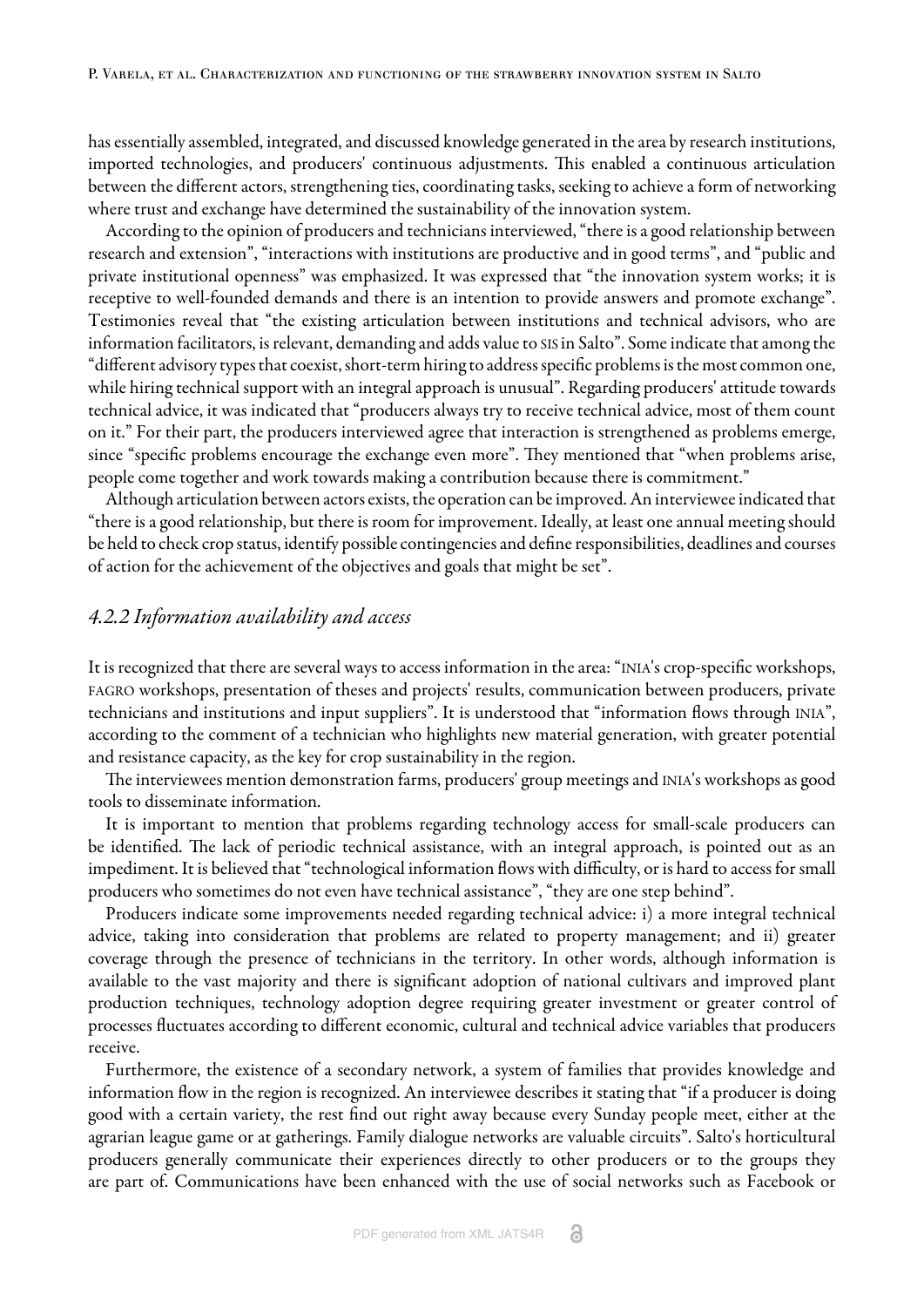has essentially assembled, integrated, and discussed knowledge generated in the area by research institutions, imported technologies, and producers' continuous adjustments. This enabled a continuous articulation between the different actors, strengthening ties, coordinating tasks, seeking to achieve a form of networking where trust and exchange have determined the sustainability of the innovation system.

According to the opinion of producers and technicians interviewed, "there is a good relationship between research and extension", "interactions with institutions are productive and in good terms", and "public and private institutional openness" was emphasized. It was expressed that "the innovation system works; it is receptive to well-founded demands and there is an intention to provide answers and promote exchange". Testimonies reveal that "the existing articulation between institutions and technical advisors, who are information facilitators, is relevant, demanding and adds value to SIS in Salto". Some indicate that among the "different advisory types that coexist, short-term hiring to address specific problems is the most common one, while hiring technical support with an integral approach is unusual". Regarding producers' attitude towards technical advice, it was indicated that "producers always try to receive technical advice, most of them count on it." For their part, the producers interviewed agree that interaction is strengthened as problems emerge, since "specific problems encourage the exchange even more". They mentioned that "when problems arise, people come together and work towards making a contribution because there is commitment."

Although articulation between actors exists, the operation can be improved. An interviewee indicated that "there is a good relationship, but there is room for improvement. Ideally, at least one annual meeting should be held to check crop status, identify possible contingencies and define responsibilities, deadlines and courses of action for the achievement of the objectives and goals that might be set".

### *4.2.2 Information availability and access*

It is recognized that there are several ways to access information in the area: "INIA's crop-specific workshops, FAGRO workshops, presentation of theses and projects' results, communication between producers, private technicians and institutions and input suppliers". It is understood that "information flows through INIA", according to the comment of a technician who highlights new material generation, with greater potential and resistance capacity, as the key for crop sustainability in the region.

The interviewees mention demonstration farms, producers' group meetings and INIA's workshops as good tools to disseminate information.

It is important to mention that problems regarding technology access for small-scale producers can be identified. The lack of periodic technical assistance, with an integral approach, is pointed out as an impediment. It is believed that "technological information flows with difficulty, or is hard to access for small producers who sometimes do not even have technical assistance", "they are one step behind".

Producers indicate some improvements needed regarding technical advice: i) a more integral technical advice, taking into consideration that problems are related to property management; and ii) greater coverage through the presence of technicians in the territory. In other words, although information is available to the vast majority and there is significant adoption of national cultivars and improved plant production techniques, technology adoption degree requiring greater investment or greater control of processes fluctuates according to different economic, cultural and technical advice variables that producers receive.

Furthermore, the existence of a secondary network, a system of families that provides knowledge and information flow in the region is recognized. An interviewee describes it stating that "if a producer is doing good with a certain variety, the rest find out right away because every Sunday people meet, either at the agrarian league game or at gatherings. Family dialogue networks are valuable circuits". Salto's horticultural producers generally communicate their experiences directly to other producers or to the groups they are part of. Communications have been enhanced with the use of social networks such as Facebook or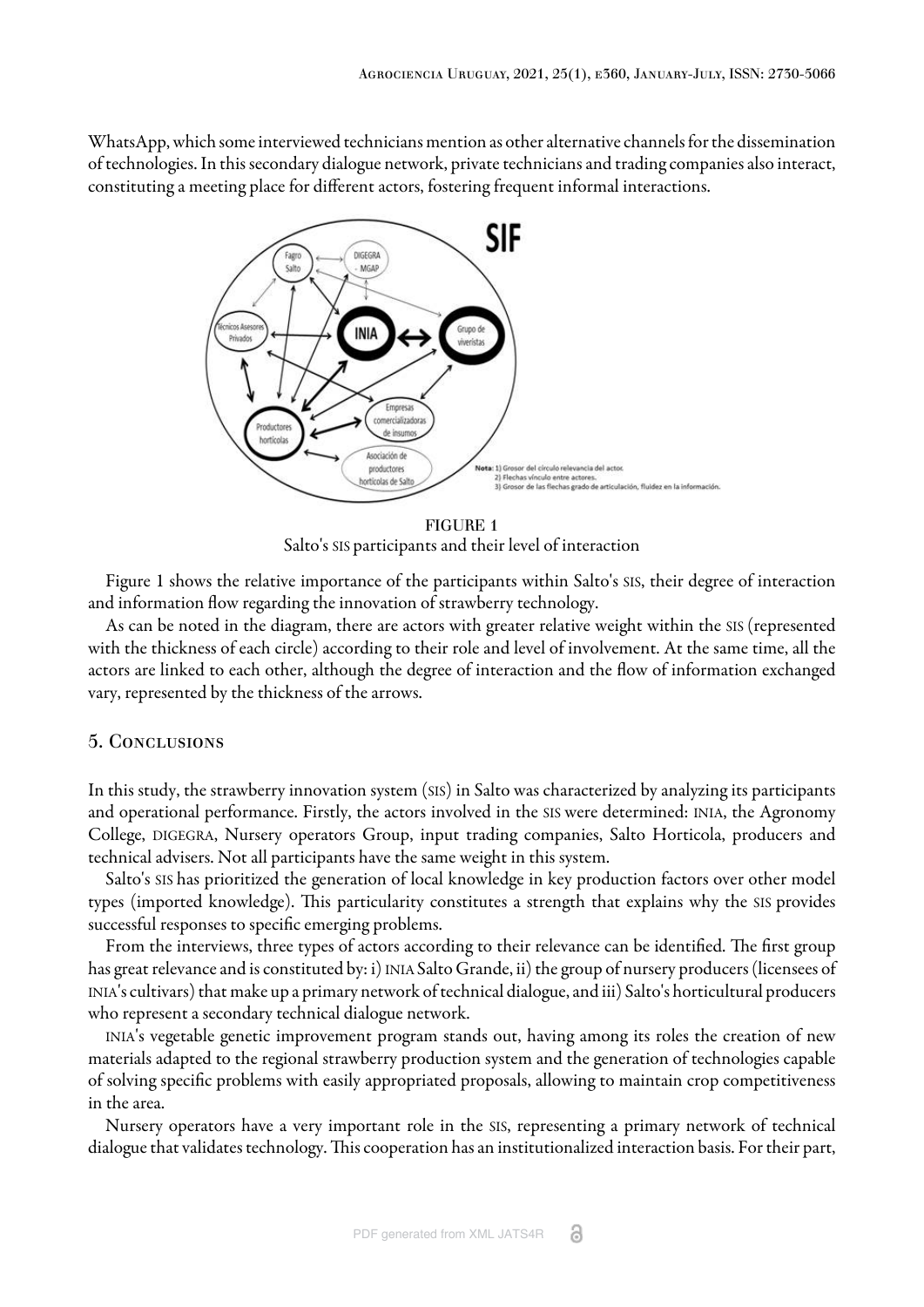<span id="page-11-0"></span>WhatsApp, which some interviewed technicians mention as other alternative channels for the dissemination of technologies. In this secondary dialogue network, private technicians and trading companies also interact, constituting a meeting place for different actors, fostering frequent informal interactions.



FIGURE 1 Salto's SIS participants and their level of interaction

[Figure 1](#page-11-0) shows the relative importance of the participants within Salto's SIS, their degree of interaction and information flow regarding the innovation of strawberry technology.

As can be noted in the diagram, there are actors with greater relative weight within the SIS (represented with the thickness of each circle) according to their role and level of involvement. At the same time, all the actors are linked to each other, although the degree of interaction and the flow of information exchanged vary, represented by the thickness of the arrows.

#### 5. Conclusions

In this study, the strawberry innovation system (SIS) in Salto was characterized by analyzing its participants and operational performance. Firstly, the actors involved in the SIS were determined: INIA, the Agronomy College, DIGEGRA, Nursery operators Group, input trading companies, Salto Horticola, producers and technical advisers. Not all participants have the same weight in this system.

Salto's SIS has prioritized the generation of local knowledge in key production factors over other model types (imported knowledge). This particularity constitutes a strength that explains why the SIS provides successful responses to specific emerging problems.

From the interviews, three types of actors according to their relevance can be identified. The first group has great relevance and is constituted by: i) INIA Salto Grande, ii) the group of nursery producers (licensees of INIA's cultivars) that make up a primary network of technical dialogue, and iii) Salto's horticultural producers who represent a secondary technical dialogue network.

INIA's vegetable genetic improvement program stands out, having among its roles the creation of new materials adapted to the regional strawberry production system and the generation of technologies capable of solving specific problems with easily appropriated proposals, allowing to maintain crop competitiveness in the area.

Nursery operators have a very important role in the SIS, representing a primary network of technical dialogue that validates technology. This cooperation has an institutionalized interaction basis. For their part,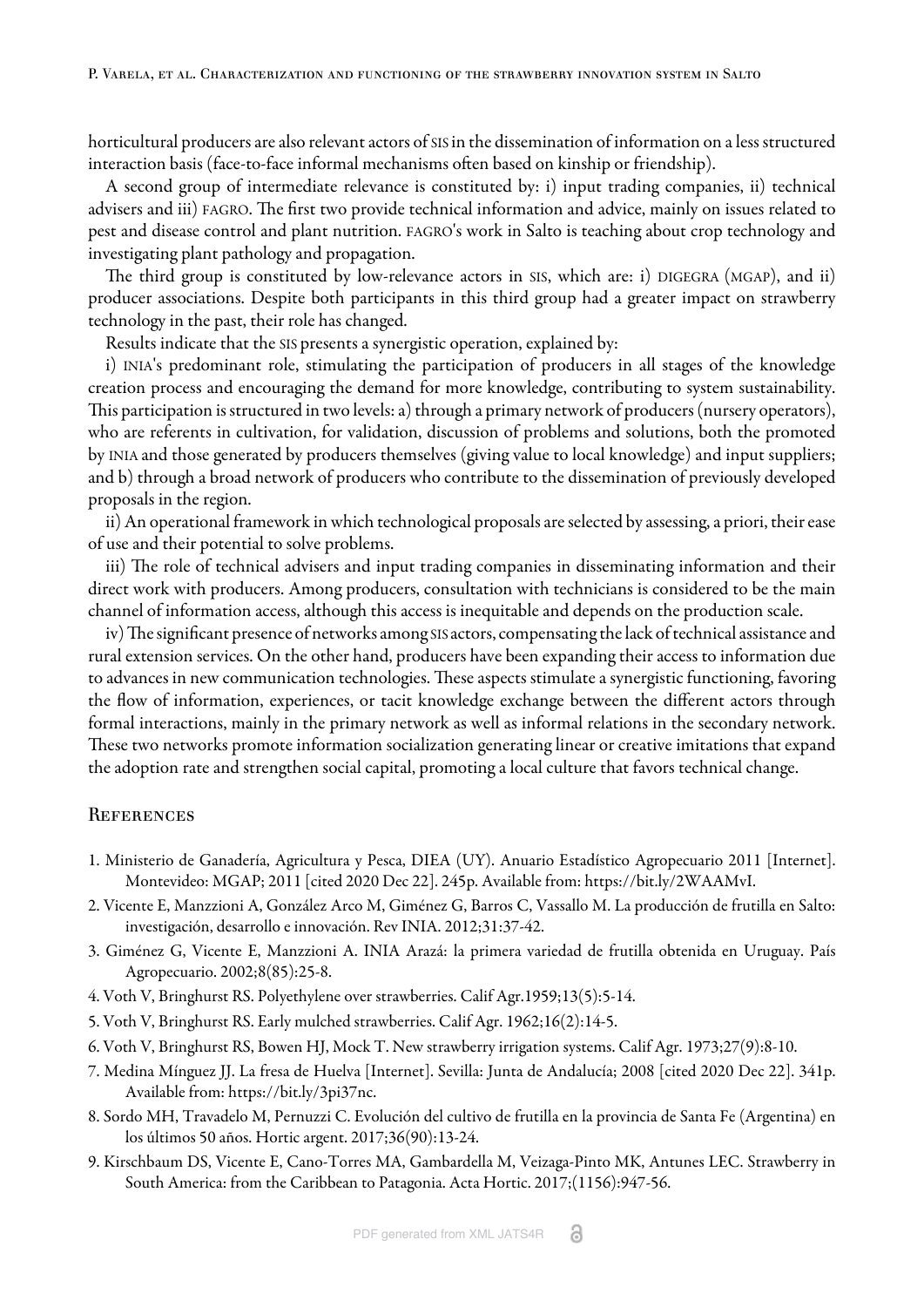horticultural producers are also relevant actors of SIS in the dissemination of information on a less structured interaction basis (face-to-face informal mechanisms often based on kinship or friendship).

A second group of intermediate relevance is constituted by: i) input trading companies, ii) technical advisers and iii) FAGRO. The first two provide technical information and advice, mainly on issues related to pest and disease control and plant nutrition. FAGRO's work in Salto is teaching about crop technology and investigating plant pathology and propagation.

The third group is constituted by low-relevance actors in SIS, which are: i) DIGEGRA (MGAP), and ii) producer associations. Despite both participants in this third group had a greater impact on strawberry technology in the past, their role has changed.

Results indicate that the SIS presents a synergistic operation, explained by:

i) INIA's predominant role, stimulating the participation of producers in all stages of the knowledge creation process and encouraging the demand for more knowledge, contributing to system sustainability. This participation is structured in two levels: a) through a primary network of producers (nursery operators), who are referents in cultivation, for validation, discussion of problems and solutions, both the promoted by INIA and those generated by producers themselves (giving value to local knowledge) and input suppliers; and b) through a broad network of producers who contribute to the dissemination of previously developed proposals in the region.

ii) An operational framework in which technological proposals are selected by assessing, a priori, their ease of use and their potential to solve problems.

iii) The role of technical advisers and input trading companies in disseminating information and their direct work with producers. Among producers, consultation with technicians is considered to be the main channel of information access, although this access is inequitable and depends on the production scale.

iv) The significant presence of networks among SIS actors, compensating the lack of technical assistance and rural extension services. On the other hand, producers have been expanding their access to information due to advances in new communication technologies. These aspects stimulate a synergistic functioning, favoring the flow of information, experiences, or tacit knowledge exchange between the different actors through formal interactions, mainly in the primary network as well as informal relations in the secondary network. These two networks promote information socialization generating linear or creative imitations that expand the adoption rate and strengthen social capital, promoting a local culture that favors technical change.

#### **REFERENCES**

- <span id="page-12-0"></span>1. Ministerio de Ganadería, Agricultura y Pesca, DIEA (UY). Anuario Estadístico Agropecuario 2011 [Internet]. Montevideo: MGAP; 2011 [cited 2020 Dec 22]. 245p. Available from: [https://bit.ly/2WAAMvI.](https://bit.ly/2WAAMvI)
- <span id="page-12-1"></span>2. Vicente E, Manzzioni A, González Arco M, Giménez G, Barros C, Vassallo M. La producción de frutilla en Salto: investigación, desarrollo e innovación. Rev INIA. 2012;31:37-42.
- <span id="page-12-2"></span>3. Giménez G, Vicente E, Manzzioni A. INIA Arazá: la primera variedad de frutilla obtenida en Uruguay. País Agropecuario. 2002;8(85):25-8.
- <span id="page-12-3"></span>4. Voth V, Bringhurst RS. Polyethylene over strawberries. Calif Agr.1959;13(5):5-14.
- <span id="page-12-4"></span>5. Voth V, Bringhurst RS. Early mulched strawberries. Calif Agr. 1962;16(2):14-5.
- <span id="page-12-5"></span>6. Voth V, Bringhurst RS, Bowen HJ, Mock T. New strawberry irrigation systems. Calif Agr. 1973;27(9):8-10.
- <span id="page-12-6"></span>7. Medina Mínguez JJ. La fresa de Huelva [Internet]. Sevilla: Junta de Andalucía; 2008 [cited 2020 Dec 22]. 341p. Available from:<https://bit.ly/3pi37nc>.
- <span id="page-12-7"></span>8. Sordo MH, Travadelo M, Pernuzzi C. Evolución del cultivo de frutilla en la provincia de Santa Fe (Argentina) en los últimos 50 años. Hortic argent. 2017;36(90):13-24.
- <span id="page-12-8"></span>9. Kirschbaum DS, Vicente E, Cano-Torres MA, Gambardella M, Veizaga-Pinto MK, Antunes LEC. Strawberry in South America: from the Caribbean to Patagonia. Acta Hortic. 2017;(1156):947-56.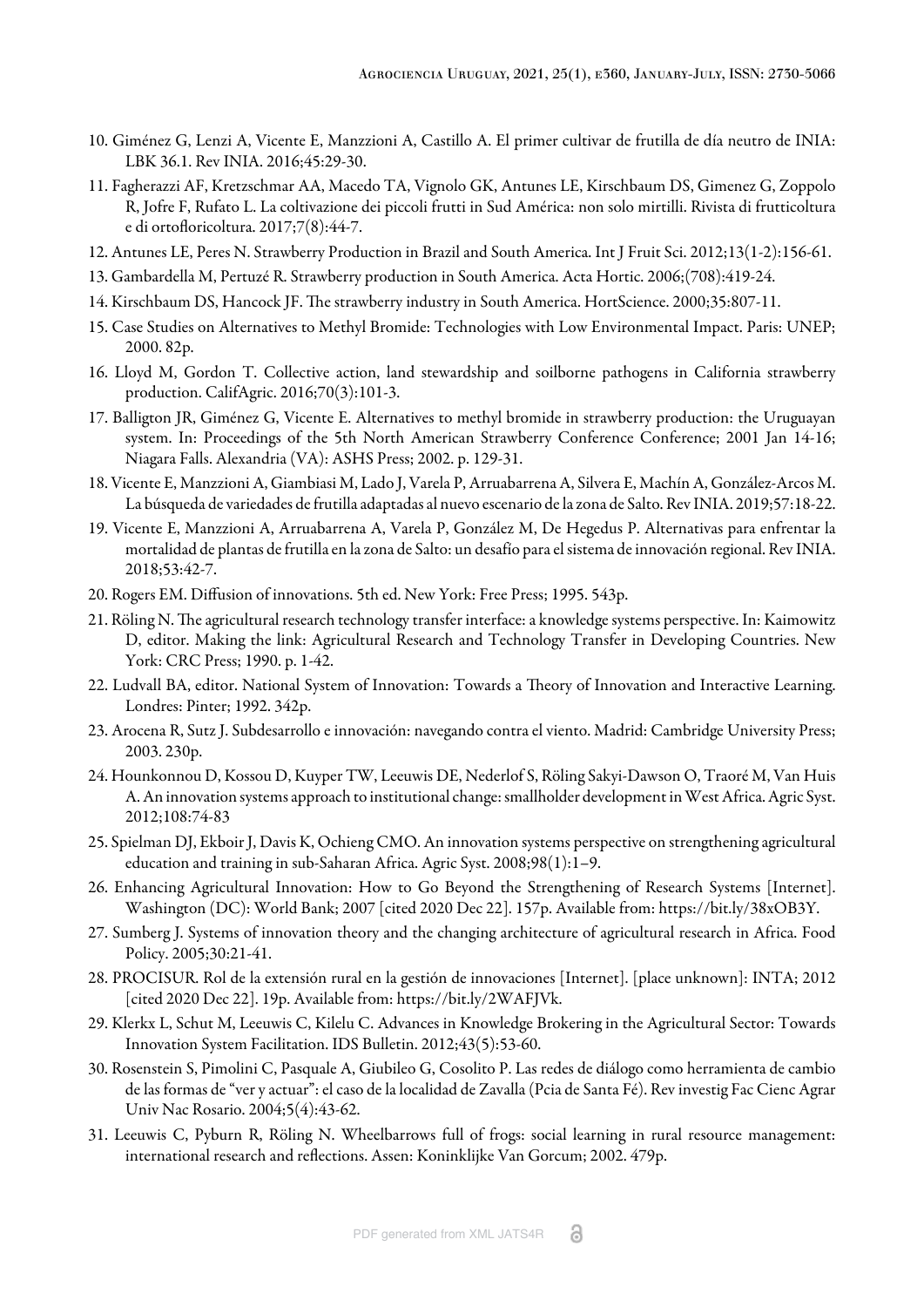- <span id="page-13-0"></span>10. Giménez G, Lenzi A, Vicente E, Manzzioni A, Castillo A. El primer cultivar de frutilla de día neutro de INIA: LBK 36.1. Rev INIA. 2016;45:29-30.
- <span id="page-13-1"></span>11. Fagherazzi AF, Kretzschmar AA, Macedo TA, Vignolo GK, Antunes LE, Kirschbaum DS, Gimenez G, Zoppolo R, Jofre F, Rufato L. La coltivazione dei piccoli frutti in Sud América: non solo mirtilli. Rivista di frutticoltura e di ortofloricoltura. 2017;7(8):44-7.
- <span id="page-13-2"></span>12. Antunes LE, Peres N. Strawberry Production in Brazil and South America. Int J Fruit Sci. 2012;13(1-2):156-61.
- <span id="page-13-3"></span>13. Gambardella M, Pertuzé R. Strawberry production in South America. Acta Hortic. 2006;(708):419-24.
- <span id="page-13-4"></span>14. Kirschbaum DS, Hancock JF. The strawberry industry in South America. HortScience. 2000;35:807-11.
- <span id="page-13-5"></span>15. Case Studies on Alternatives to Methyl Bromide: Technologies with Low Environmental Impact. Paris: UNEP; 2000. 82p.
- <span id="page-13-6"></span>16. Lloyd M, Gordon T. Collective action, land stewardship and soilborne pathogens in California strawberry production. CalifAgric. 2016;70(3):101-3.
- <span id="page-13-7"></span>17. Balligton JR, Giménez G, Vicente E. Alternatives to methyl bromide in strawberry production: the Uruguayan system. In: Proceedings of the 5th North American Strawberry Conference Conference; 2001 Jan 14-16; Niagara Falls. Alexandria (VA): ASHS Press; 2002. p. 129-31.
- <span id="page-13-8"></span>18. Vicente E, Manzzioni A, Giambiasi M, Lado J, Varela P, Arruabarrena A, Silvera E, Machín A, González-Arcos M. La búsqueda de variedades de frutilla adaptadas al nuevo escenario de la zona de Salto. Rev INIA. 2019;57:18-22.
- <span id="page-13-9"></span>19. Vicente E, Manzzioni A, Arruabarrena A, Varela P, González M, De Hegedus P. Alternativas para enfrentar la mortalidad de plantas de frutilla en la zona de Salto: un desafío para el sistema de innovación regional. Rev INIA. 2018;53:42-7.
- <span id="page-13-10"></span>20. Rogers EM. Diffusion of innovations. 5th ed. New York: Free Press; 1995. 543p.
- <span id="page-13-11"></span>21. Röling N. The agricultural research technology transfer interface: a knowledge systems perspective. In: Kaimowitz D, editor. Making the link: Agricultural Research and Technology Transfer in Developing Countries. New York: CRC Press; 1990. p. 1-42.
- <span id="page-13-12"></span>22. Ludvall BA, editor. National System of Innovation: Towards a Theory of Innovation and Interactive Learning. Londres: Pinter; 1992. 342p.
- <span id="page-13-13"></span>23. Arocena R, Sutz J. Subdesarrollo e innovación: navegando contra el viento. Madrid: Cambridge University Press; 2003. 230p.
- <span id="page-13-14"></span>24. Hounkonnou D, Kossou D, Kuyper TW, Leeuwis DE, Nederlof S, Röling Sakyi-Dawson O, Traoré M, Van Huis A. An innovation systems approach to institutional change: smallholder development in West Africa. Agric Syst. 2012;108:74-83
- <span id="page-13-15"></span>25. Spielman DJ, Ekboir J, Davis K, Ochieng CMO. An innovation systems perspective on strengthening agricultural education and training in sub-Saharan Africa. Agric Syst. 2008;98(1):1–9.
- <span id="page-13-16"></span>26. Enhancing Agricultural Innovation: How to Go Beyond the Strengthening of Research Systems [Internet]. Washington (DC): World Bank; 2007 [cited 2020 Dec 22]. 157p. Available from: <https://bit.ly/38xOB3Y>.
- <span id="page-13-17"></span>27. Sumberg J. Systems of innovation theory and the changing architecture of agricultural research in Africa. Food Policy. 2005;30:21-41.
- <span id="page-13-18"></span>28. PROCISUR. Rol de la extensión rural en la gestión de innovaciones [Internet]. [place unknown]: INTA; 2012 [cited 2020 Dec 22]. 19p. Available from: <https://bit.ly/2WAFJVk>.
- <span id="page-13-19"></span>29. Klerkx L, Schut M, Leeuwis C, Kilelu C. Advances in Knowledge Brokering in the Agricultural Sector: Towards Innovation System Facilitation. IDS Bulletin. 2012;43(5):53-60.
- <span id="page-13-20"></span>30. Rosenstein S, Pimolini C, Pasquale A, Giubileo G, Cosolito P. Las redes de diálogo como herramienta de cambio de las formas de "ver y actuar": el caso de la localidad de Zavalla (Pcia de Santa Fé). Rev investig Fac Cienc Agrar Univ Nac Rosario. 2004;5(4):43-62.
- <span id="page-13-21"></span>31. Leeuwis C, Pyburn R, Röling N. Wheelbarrows full of frogs: social learning in rural resource management: international research and reflections. Assen: Koninklijke Van Gorcum; 2002. 479p.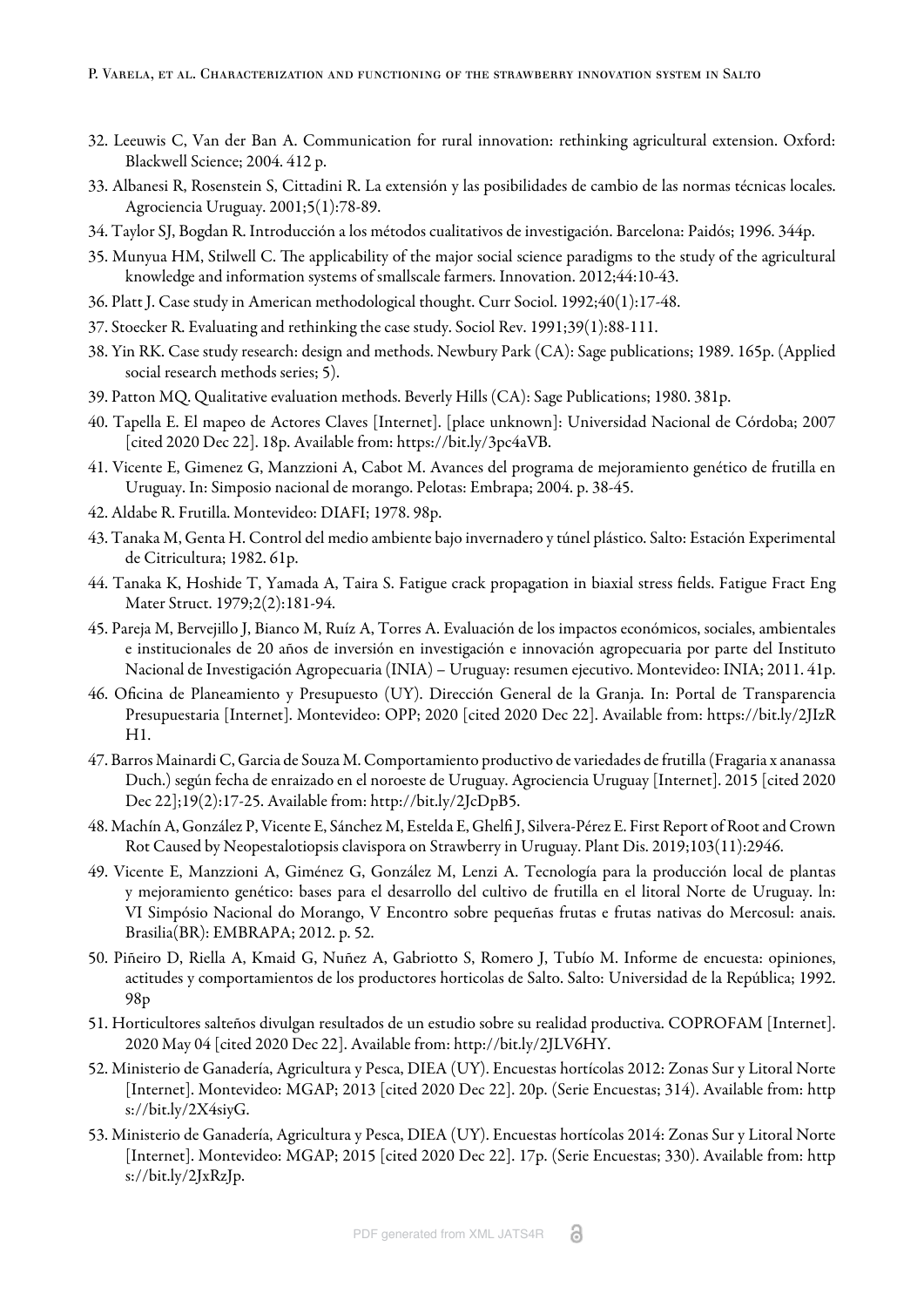- <span id="page-14-0"></span>32. Leeuwis C, Van der Ban A. Communication for rural innovation: rethinking agricultural extension. Oxford: Blackwell Science; 2004. 412 p.
- <span id="page-14-1"></span>33. Albanesi R, Rosenstein S, Cittadini R. La extensión y las posibilidades de cambio de las normas técnicas locales. Agrociencia Uruguay. 2001;5(1):78-89.
- <span id="page-14-2"></span>34. Taylor SJ, Bogdan R. Introducción a los métodos cualitativos de investigación. Barcelona: Paidós; 1996. 344p.
- <span id="page-14-3"></span>35. Munyua HM, Stilwell C. The applicability of the major social science paradigms to the study of the agricultural knowledge and information systems of smallscale farmers. Innovation. 2012;44:10-43.
- <span id="page-14-4"></span>36. Platt J. Case study in American methodological thought. Curr Sociol. 1992;40(1):17-48.
- <span id="page-14-5"></span>37. Stoecker R. Evaluating and rethinking the case study. Sociol Rev. 1991;39(1):88-111.
- <span id="page-14-6"></span>38. Yin RK. Case study research: design and methods. Newbury Park (CA): Sage publications; 1989. 165p. (Applied social research methods series; 5).
- <span id="page-14-7"></span>39. Patton MQ. Qualitative evaluation methods. Beverly Hills (CA): Sage Publications; 1980. 381p.
- <span id="page-14-8"></span>40. Tapella E. El mapeo de Actores Claves [Internet]. [place unknown]: Universidad Nacional de Córdoba; 2007 [cited 2020 Dec 22]. 18p. Available from: <https://bit.ly/3pc4aVB>.
- <span id="page-14-9"></span>41. Vicente E, Gimenez G, Manzzioni A, Cabot M. Avances del programa de mejoramiento genético de frutilla en Uruguay. In: Simposio nacional de morango. Pelotas: Embrapa; 2004. p. 38-45.
- <span id="page-14-10"></span>42. Aldabe R. Frutilla. Montevideo: DIAFI; 1978. 98p.
- <span id="page-14-11"></span>43. Tanaka M, Genta H. Control del medio ambiente bajo invernadero y túnel plástico. Salto: Estación Experimental de Citricultura; 1982. 61p.
- <span id="page-14-12"></span>44. Tanaka K, Hoshide T, Yamada A, Taira S. Fatigue crack propagation in biaxial stress fields. Fatigue Fract Eng Mater Struct. 1979;2(2):181-94.
- <span id="page-14-13"></span>45. Pareja M, Bervejillo J, Bianco M, Ruíz A, Torres A. Evaluación de los impactos económicos, sociales, ambientales e institucionales de 20 años de inversión en investigación e innovación agropecuaria por parte del Instituto Nacional de Investigación Agropecuaria (INIA) – Uruguay: resumen ejecutivo. Montevideo: INIA; 2011. 41p.
- <span id="page-14-14"></span>46. Oficina de Planeamiento y Presupuesto (UY). Dirección General de la Granja. In: Portal de Transparencia Presupuestaria [Internet]. Montevideo: OPP; 2020 [cited 2020 Dec 22]. Available from: [https://bit.ly/2JIzR](https://bit.ly/2JIzRH1) [H1](https://bit.ly/2JIzRH1).
- <span id="page-14-15"></span>47. Barros Mainardi C, Garcia de Souza M. Comportamiento productivo de variedades de frutilla (Fragaria x ananassa Duch.) según fecha de enraizado en el noroeste de Uruguay. Agrociencia Uruguay [Internet]. 2015 [cited 2020 Dec 22];19(2):17-25. Available from: [http://bit.ly/2JcDpB5.](http://bit.ly/2JcDpB5)
- <span id="page-14-16"></span>48. Machín A, González P, Vicente E, Sánchez M, Estelda E, Ghelfi J, Silvera-Pérez E. First Report of Root and Crown Rot Caused by Neopestalotiopsis clavispora on Strawberry in Uruguay. Plant Dis. 2019;103(11):2946.
- <span id="page-14-17"></span>49. Vicente E, Manzzioni A, Giménez G, González M, Lenzi A. Tecnología para la producción local de plantas y mejoramiento genético: bases para el desarrollo del cultivo de frutilla en el litoral Norte de Uruguay. ln: VI Simpósio Nacional do Morango, V Encontro sobre pequeñas frutas e frutas nativas do Mercosul: anais. Brasilia(BR): EMBRAPA; 2012. p. 52.
- <span id="page-14-18"></span>50. Piñeiro D, Riella A, Kmaid G, Nuñez A, Gabriotto S, Romero J, Tubío M. Informe de encuesta: opiniones, actitudes y comportamientos de los productores horticolas de Salto. Salto: Universidad de la República; 1992. 98p
- <span id="page-14-19"></span>51. Horticultores salteños divulgan resultados de un estudio sobre su realidad productiva. COPROFAM [Internet]. 2020 May 04 [cited 2020 Dec 22]. Available from:<http://bit.ly/2JLV6HY>.
- <span id="page-14-20"></span>52. Ministerio de Ganadería, Agricultura y Pesca, DIEA (UY). Encuestas hortícolas 2012: Zonas Sur y Litoral Norte [Internet]. Montevideo: MGAP; 2013 [cited 2020 Dec 22]. 20p. (Serie Encuestas; 314). Available from: [http](https://bit.ly/2X4siyG) [s://bit.ly/2X4siyG.](https://bit.ly/2X4siyG)
- <span id="page-14-21"></span>53. Ministerio de Ganadería, Agricultura y Pesca, DIEA (UY). Encuestas hortícolas 2014: Zonas Sur y Litoral Norte [Internet]. Montevideo: MGAP; 2015 [cited 2020 Dec 22]. 17p. (Serie Encuestas; 330). Available from: [http](https://bit.ly/2JxRzJp) [s://bit.ly/2JxRzJp](https://bit.ly/2JxRzJp).